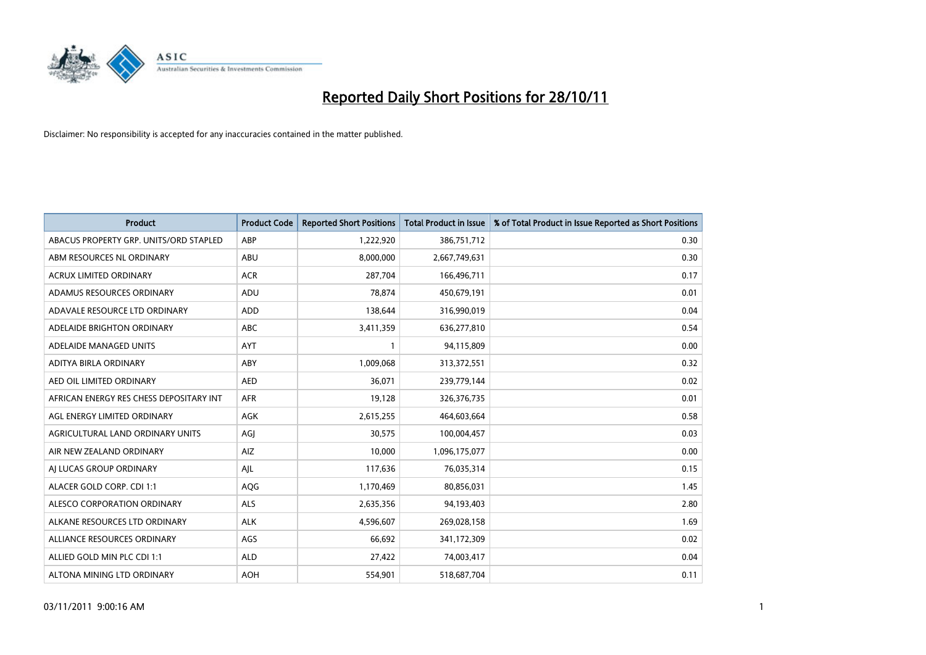

| <b>Product</b>                          | <b>Product Code</b> | <b>Reported Short Positions</b> | Total Product in Issue | % of Total Product in Issue Reported as Short Positions |
|-----------------------------------------|---------------------|---------------------------------|------------------------|---------------------------------------------------------|
| ABACUS PROPERTY GRP. UNITS/ORD STAPLED  | ABP                 | 1,222,920                       | 386,751,712            | 0.30                                                    |
| ABM RESOURCES NL ORDINARY               | ABU                 | 8,000,000                       | 2,667,749,631          | 0.30                                                    |
| <b>ACRUX LIMITED ORDINARY</b>           | <b>ACR</b>          | 287,704                         | 166,496,711            | 0.17                                                    |
| ADAMUS RESOURCES ORDINARY               | ADU                 | 78,874                          | 450,679,191            | 0.01                                                    |
| ADAVALE RESOURCE LTD ORDINARY           | ADD                 | 138,644                         | 316,990,019            | 0.04                                                    |
| ADELAIDE BRIGHTON ORDINARY              | <b>ABC</b>          | 3,411,359                       | 636,277,810            | 0.54                                                    |
| ADELAIDE MANAGED UNITS                  | <b>AYT</b>          |                                 | 94,115,809             | 0.00                                                    |
| ADITYA BIRLA ORDINARY                   | ABY                 | 1,009,068                       | 313,372,551            | 0.32                                                    |
| AED OIL LIMITED ORDINARY                | <b>AED</b>          | 36,071                          | 239,779,144            | 0.02                                                    |
| AFRICAN ENERGY RES CHESS DEPOSITARY INT | <b>AFR</b>          | 19,128                          | 326,376,735            | 0.01                                                    |
| AGL ENERGY LIMITED ORDINARY             | <b>AGK</b>          | 2,615,255                       | 464,603,664            | 0.58                                                    |
| AGRICULTURAL LAND ORDINARY UNITS        | AGI                 | 30,575                          | 100,004,457            | 0.03                                                    |
| AIR NEW ZEALAND ORDINARY                | AIZ                 | 10,000                          | 1,096,175,077          | 0.00                                                    |
| AI LUCAS GROUP ORDINARY                 | AJL                 | 117,636                         | 76,035,314             | 0.15                                                    |
| ALACER GOLD CORP. CDI 1:1               | AQG                 | 1,170,469                       | 80,856,031             | 1.45                                                    |
| ALESCO CORPORATION ORDINARY             | ALS                 | 2,635,356                       | 94,193,403             | 2.80                                                    |
| ALKANE RESOURCES LTD ORDINARY           | <b>ALK</b>          | 4,596,607                       | 269,028,158            | 1.69                                                    |
| ALLIANCE RESOURCES ORDINARY             | AGS                 | 66,692                          | 341,172,309            | 0.02                                                    |
| ALLIED GOLD MIN PLC CDI 1:1             | <b>ALD</b>          | 27,422                          | 74,003,417             | 0.04                                                    |
| ALTONA MINING LTD ORDINARY              | <b>AOH</b>          | 554.901                         | 518,687,704            | 0.11                                                    |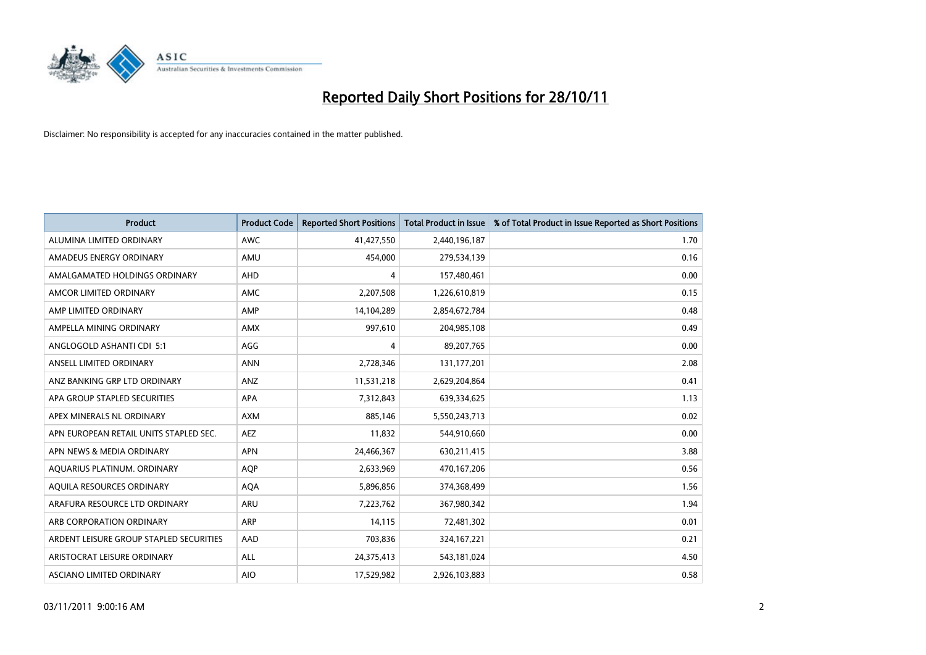

| <b>Product</b>                          | <b>Product Code</b> | <b>Reported Short Positions</b> | <b>Total Product in Issue</b> | % of Total Product in Issue Reported as Short Positions |
|-----------------------------------------|---------------------|---------------------------------|-------------------------------|---------------------------------------------------------|
| ALUMINA LIMITED ORDINARY                | <b>AWC</b>          | 41,427,550                      | 2,440,196,187                 | 1.70                                                    |
| AMADEUS ENERGY ORDINARY                 | AMU                 | 454,000                         | 279,534,139                   | 0.16                                                    |
| AMALGAMATED HOLDINGS ORDINARY           | <b>AHD</b>          | 4                               | 157,480,461                   | 0.00                                                    |
| AMCOR LIMITED ORDINARY                  | <b>AMC</b>          | 2,207,508                       | 1,226,610,819                 | 0.15                                                    |
| AMP LIMITED ORDINARY                    | AMP                 | 14,104,289                      | 2,854,672,784                 | 0.48                                                    |
| AMPELLA MINING ORDINARY                 | <b>AMX</b>          | 997,610                         | 204,985,108                   | 0.49                                                    |
| ANGLOGOLD ASHANTI CDI 5:1               | AGG                 | 4                               | 89,207,765                    | 0.00                                                    |
| ANSELL LIMITED ORDINARY                 | <b>ANN</b>          | 2,728,346                       | 131,177,201                   | 2.08                                                    |
| ANZ BANKING GRP LTD ORDINARY            | ANZ                 | 11,531,218                      | 2,629,204,864                 | 0.41                                                    |
| APA GROUP STAPLED SECURITIES            | <b>APA</b>          | 7,312,843                       | 639,334,625                   | 1.13                                                    |
| APEX MINERALS NL ORDINARY               | <b>AXM</b>          | 885,146                         | 5,550,243,713                 | 0.02                                                    |
| APN EUROPEAN RETAIL UNITS STAPLED SEC.  | <b>AEZ</b>          | 11,832                          | 544,910,660                   | 0.00                                                    |
| APN NEWS & MEDIA ORDINARY               | <b>APN</b>          | 24,466,367                      | 630,211,415                   | 3.88                                                    |
| AQUARIUS PLATINUM. ORDINARY             | <b>AOP</b>          | 2,633,969                       | 470,167,206                   | 0.56                                                    |
| AQUILA RESOURCES ORDINARY               | <b>AQA</b>          | 5,896,856                       | 374,368,499                   | 1.56                                                    |
| ARAFURA RESOURCE LTD ORDINARY           | ARU                 | 7,223,762                       | 367,980,342                   | 1.94                                                    |
| ARB CORPORATION ORDINARY                | <b>ARP</b>          | 14,115                          | 72,481,302                    | 0.01                                                    |
| ARDENT LEISURE GROUP STAPLED SECURITIES | AAD                 | 703,836                         | 324,167,221                   | 0.21                                                    |
| ARISTOCRAT LEISURE ORDINARY             | <b>ALL</b>          | 24,375,413                      | 543,181,024                   | 4.50                                                    |
| ASCIANO LIMITED ORDINARY                | <b>AIO</b>          | 17,529,982                      | 2,926,103,883                 | 0.58                                                    |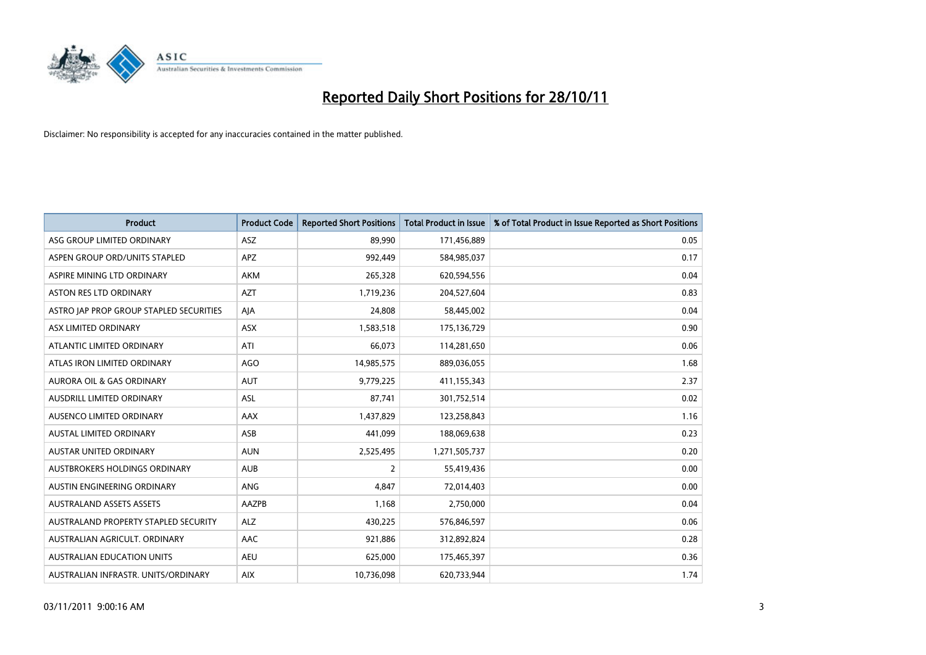

| <b>Product</b>                          | <b>Product Code</b> | <b>Reported Short Positions</b> | <b>Total Product in Issue</b> | % of Total Product in Issue Reported as Short Positions |
|-----------------------------------------|---------------------|---------------------------------|-------------------------------|---------------------------------------------------------|
| ASG GROUP LIMITED ORDINARY              | <b>ASZ</b>          | 89,990                          | 171,456,889                   | 0.05                                                    |
| ASPEN GROUP ORD/UNITS STAPLED           | <b>APZ</b>          | 992,449                         | 584,985,037                   | 0.17                                                    |
| ASPIRE MINING LTD ORDINARY              | <b>AKM</b>          | 265,328                         | 620,594,556                   | 0.04                                                    |
| <b>ASTON RES LTD ORDINARY</b>           | <b>AZT</b>          | 1,719,236                       | 204,527,604                   | 0.83                                                    |
| ASTRO JAP PROP GROUP STAPLED SECURITIES | AIA                 | 24,808                          | 58,445,002                    | 0.04                                                    |
| ASX LIMITED ORDINARY                    | <b>ASX</b>          | 1,583,518                       | 175,136,729                   | 0.90                                                    |
| ATLANTIC LIMITED ORDINARY               | ATI                 | 66,073                          | 114,281,650                   | 0.06                                                    |
| ATLAS IRON LIMITED ORDINARY             | <b>AGO</b>          | 14,985,575                      | 889,036,055                   | 1.68                                                    |
| <b>AURORA OIL &amp; GAS ORDINARY</b>    | <b>AUT</b>          | 9,779,225                       | 411,155,343                   | 2.37                                                    |
| <b>AUSDRILL LIMITED ORDINARY</b>        | <b>ASL</b>          | 87,741                          | 301,752,514                   | 0.02                                                    |
| AUSENCO LIMITED ORDINARY                | AAX                 | 1,437,829                       | 123,258,843                   | 1.16                                                    |
| <b>AUSTAL LIMITED ORDINARY</b>          | ASB                 | 441,099                         | 188,069,638                   | 0.23                                                    |
| AUSTAR UNITED ORDINARY                  | <b>AUN</b>          | 2,525,495                       | 1,271,505,737                 | 0.20                                                    |
| <b>AUSTBROKERS HOLDINGS ORDINARY</b>    | <b>AUB</b>          | 2                               | 55,419,436                    | 0.00                                                    |
| <b>AUSTIN ENGINEERING ORDINARY</b>      | ANG                 | 4,847                           | 72,014,403                    | 0.00                                                    |
| <b>AUSTRALAND ASSETS ASSETS</b>         | AAZPB               | 1,168                           | 2,750,000                     | 0.04                                                    |
| AUSTRALAND PROPERTY STAPLED SECURITY    | <b>ALZ</b>          | 430,225                         | 576,846,597                   | 0.06                                                    |
| AUSTRALIAN AGRICULT. ORDINARY           | AAC                 | 921,886                         | 312,892,824                   | 0.28                                                    |
| <b>AUSTRALIAN EDUCATION UNITS</b>       | <b>AEU</b>          | 625,000                         | 175,465,397                   | 0.36                                                    |
| AUSTRALIAN INFRASTR. UNITS/ORDINARY     | <b>AIX</b>          | 10,736,098                      | 620,733,944                   | 1.74                                                    |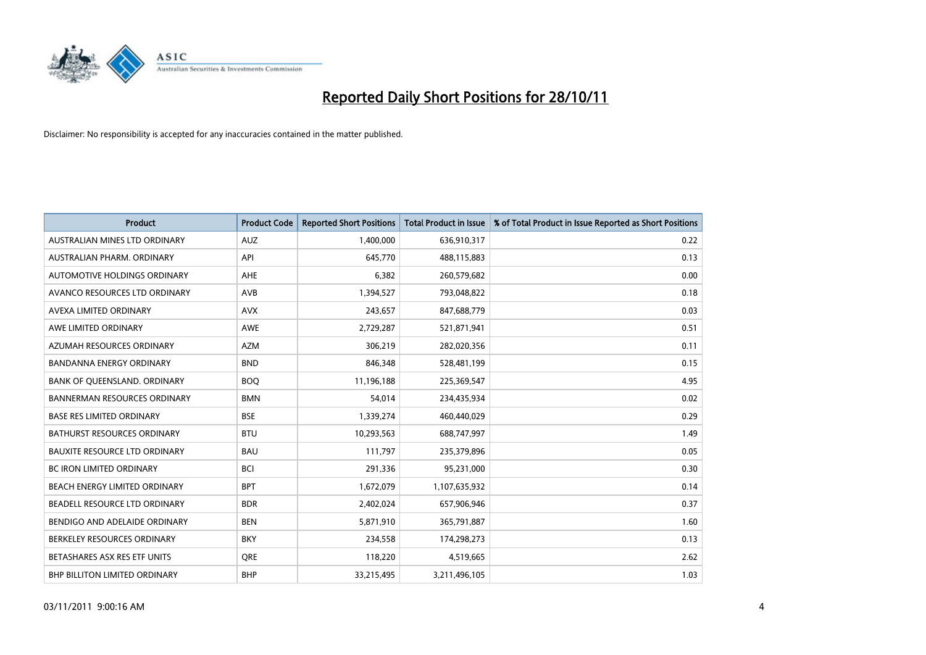

| <b>Product</b>                       | <b>Product Code</b> | <b>Reported Short Positions</b> | <b>Total Product in Issue</b> | % of Total Product in Issue Reported as Short Positions |
|--------------------------------------|---------------------|---------------------------------|-------------------------------|---------------------------------------------------------|
| AUSTRALIAN MINES LTD ORDINARY        | <b>AUZ</b>          | 1,400,000                       | 636,910,317                   | 0.22                                                    |
| AUSTRALIAN PHARM, ORDINARY           | API                 | 645,770                         | 488,115,883                   | 0.13                                                    |
| AUTOMOTIVE HOLDINGS ORDINARY         | AHE                 | 6,382                           | 260,579,682                   | 0.00                                                    |
| AVANCO RESOURCES LTD ORDINARY        | AVB                 | 1,394,527                       | 793,048,822                   | 0.18                                                    |
| AVEXA LIMITED ORDINARY               | <b>AVX</b>          | 243.657                         | 847,688,779                   | 0.03                                                    |
| AWE LIMITED ORDINARY                 | <b>AWE</b>          | 2,729,287                       | 521,871,941                   | 0.51                                                    |
| AZUMAH RESOURCES ORDINARY            | <b>AZM</b>          | 306.219                         | 282,020,356                   | 0.11                                                    |
| <b>BANDANNA ENERGY ORDINARY</b>      | <b>BND</b>          | 846,348                         | 528,481,199                   | 0.15                                                    |
| BANK OF QUEENSLAND. ORDINARY         | <b>BOQ</b>          | 11,196,188                      | 225,369,547                   | 4.95                                                    |
| <b>BANNERMAN RESOURCES ORDINARY</b>  | <b>BMN</b>          | 54,014                          | 234,435,934                   | 0.02                                                    |
| <b>BASE RES LIMITED ORDINARY</b>     | <b>BSE</b>          | 1,339,274                       | 460,440,029                   | 0.29                                                    |
| <b>BATHURST RESOURCES ORDINARY</b>   | <b>BTU</b>          | 10,293,563                      | 688,747,997                   | 1.49                                                    |
| <b>BAUXITE RESOURCE LTD ORDINARY</b> | <b>BAU</b>          | 111,797                         | 235,379,896                   | 0.05                                                    |
| <b>BC IRON LIMITED ORDINARY</b>      | <b>BCI</b>          | 291,336                         | 95,231,000                    | 0.30                                                    |
| BEACH ENERGY LIMITED ORDINARY        | <b>BPT</b>          | 1,672,079                       | 1,107,635,932                 | 0.14                                                    |
| BEADELL RESOURCE LTD ORDINARY        | <b>BDR</b>          | 2,402,024                       | 657,906,946                   | 0.37                                                    |
| BENDIGO AND ADELAIDE ORDINARY        | <b>BEN</b>          | 5,871,910                       | 365,791,887                   | 1.60                                                    |
| BERKELEY RESOURCES ORDINARY          | <b>BKY</b>          | 234,558                         | 174,298,273                   | 0.13                                                    |
| BETASHARES ASX RES ETF UNITS         | <b>ORE</b>          | 118,220                         | 4,519,665                     | 2.62                                                    |
| <b>BHP BILLITON LIMITED ORDINARY</b> | <b>BHP</b>          | 33,215,495                      | 3,211,496,105                 | 1.03                                                    |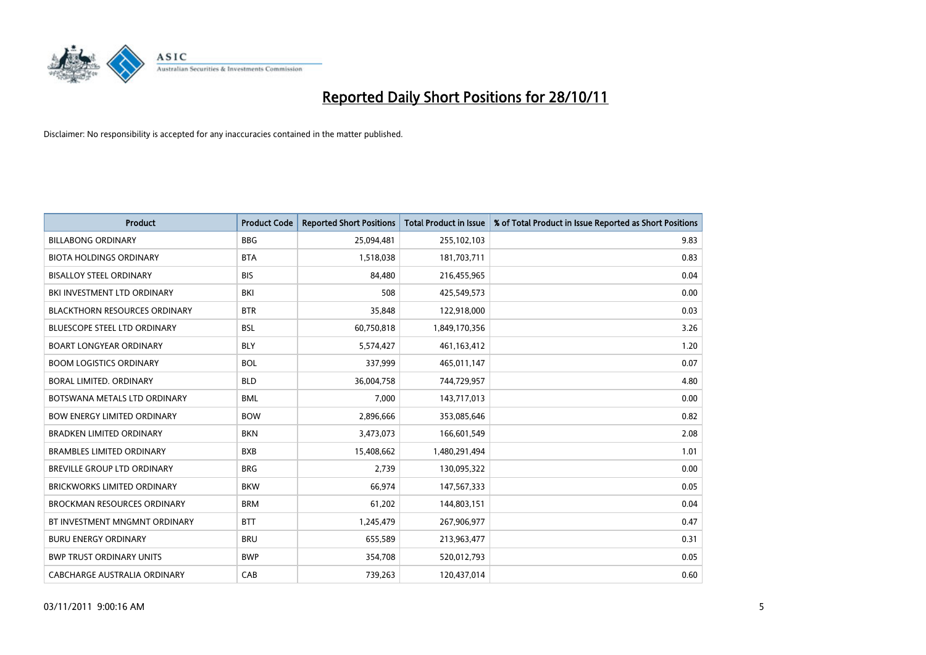

| <b>Product</b>                       | <b>Product Code</b> | <b>Reported Short Positions</b> | <b>Total Product in Issue</b> | % of Total Product in Issue Reported as Short Positions |
|--------------------------------------|---------------------|---------------------------------|-------------------------------|---------------------------------------------------------|
| <b>BILLABONG ORDINARY</b>            | <b>BBG</b>          | 25,094,481                      | 255,102,103                   | 9.83                                                    |
| <b>BIOTA HOLDINGS ORDINARY</b>       | <b>BTA</b>          | 1,518,038                       | 181,703,711                   | 0.83                                                    |
| <b>BISALLOY STEEL ORDINARY</b>       | <b>BIS</b>          | 84,480                          | 216,455,965                   | 0.04                                                    |
| BKI INVESTMENT LTD ORDINARY          | BKI                 | 508                             | 425,549,573                   | 0.00                                                    |
| <b>BLACKTHORN RESOURCES ORDINARY</b> | <b>BTR</b>          | 35,848                          | 122,918,000                   | 0.03                                                    |
| <b>BLUESCOPE STEEL LTD ORDINARY</b>  | <b>BSL</b>          | 60,750,818                      | 1,849,170,356                 | 3.26                                                    |
| <b>BOART LONGYEAR ORDINARY</b>       | <b>BLY</b>          | 5,574,427                       | 461,163,412                   | 1.20                                                    |
| <b>BOOM LOGISTICS ORDINARY</b>       | <b>BOL</b>          | 337,999                         | 465,011,147                   | 0.07                                                    |
| BORAL LIMITED. ORDINARY              | <b>BLD</b>          | 36,004,758                      | 744,729,957                   | 4.80                                                    |
| BOTSWANA METALS LTD ORDINARY         | <b>BML</b>          | 7,000                           | 143,717,013                   | 0.00                                                    |
| <b>BOW ENERGY LIMITED ORDINARY</b>   | <b>BOW</b>          | 2,896,666                       | 353,085,646                   | 0.82                                                    |
| <b>BRADKEN LIMITED ORDINARY</b>      | <b>BKN</b>          | 3,473,073                       | 166,601,549                   | 2.08                                                    |
| <b>BRAMBLES LIMITED ORDINARY</b>     | <b>BXB</b>          | 15,408,662                      | 1,480,291,494                 | 1.01                                                    |
| <b>BREVILLE GROUP LTD ORDINARY</b>   | <b>BRG</b>          | 2,739                           | 130,095,322                   | 0.00                                                    |
| <b>BRICKWORKS LIMITED ORDINARY</b>   | <b>BKW</b>          | 66,974                          | 147,567,333                   | 0.05                                                    |
| <b>BROCKMAN RESOURCES ORDINARY</b>   | <b>BRM</b>          | 61,202                          | 144,803,151                   | 0.04                                                    |
| BT INVESTMENT MNGMNT ORDINARY        | <b>BTT</b>          | 1,245,479                       | 267,906,977                   | 0.47                                                    |
| <b>BURU ENERGY ORDINARY</b>          | <b>BRU</b>          | 655,589                         | 213,963,477                   | 0.31                                                    |
| <b>BWP TRUST ORDINARY UNITS</b>      | <b>BWP</b>          | 354,708                         | 520,012,793                   | 0.05                                                    |
| CABCHARGE AUSTRALIA ORDINARY         | CAB                 | 739.263                         | 120.437.014                   | 0.60                                                    |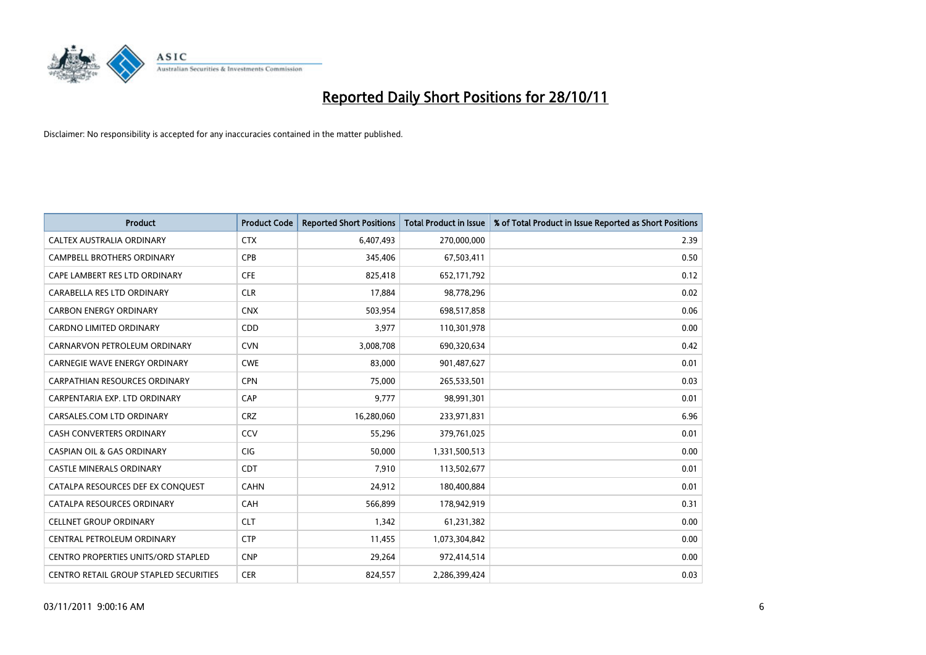

| <b>Product</b>                                | <b>Product Code</b> | <b>Reported Short Positions</b> | <b>Total Product in Issue</b> | % of Total Product in Issue Reported as Short Positions |
|-----------------------------------------------|---------------------|---------------------------------|-------------------------------|---------------------------------------------------------|
| CALTEX AUSTRALIA ORDINARY                     | <b>CTX</b>          | 6,407,493                       | 270,000,000                   | 2.39                                                    |
| CAMPBELL BROTHERS ORDINARY                    | <b>CPB</b>          | 345,406                         | 67,503,411                    | 0.50                                                    |
| CAPE LAMBERT RES LTD ORDINARY                 | <b>CFE</b>          | 825,418                         | 652,171,792                   | 0.12                                                    |
| CARABELLA RES LTD ORDINARY                    | <b>CLR</b>          | 17,884                          | 98,778,296                    | 0.02                                                    |
| <b>CARBON ENERGY ORDINARY</b>                 | <b>CNX</b>          | 503,954                         | 698,517,858                   | 0.06                                                    |
| <b>CARDNO LIMITED ORDINARY</b>                | <b>CDD</b>          | 3,977                           | 110,301,978                   | 0.00                                                    |
| CARNARVON PETROLEUM ORDINARY                  | <b>CVN</b>          | 3,008,708                       | 690,320,634                   | 0.42                                                    |
| <b>CARNEGIE WAVE ENERGY ORDINARY</b>          | <b>CWE</b>          | 83,000                          | 901,487,627                   | 0.01                                                    |
| CARPATHIAN RESOURCES ORDINARY                 | <b>CPN</b>          | 75,000                          | 265,533,501                   | 0.03                                                    |
| CARPENTARIA EXP. LTD ORDINARY                 | CAP                 | 9,777                           | 98,991,301                    | 0.01                                                    |
| CARSALES.COM LTD ORDINARY                     | <b>CRZ</b>          | 16,280,060                      | 233,971,831                   | 6.96                                                    |
| <b>CASH CONVERTERS ORDINARY</b>               | CCV                 | 55,296                          | 379,761,025                   | 0.01                                                    |
| <b>CASPIAN OIL &amp; GAS ORDINARY</b>         | <b>CIG</b>          | 50.000                          | 1,331,500,513                 | 0.00                                                    |
| <b>CASTLE MINERALS ORDINARY</b>               | <b>CDT</b>          | 7,910                           | 113,502,677                   | 0.01                                                    |
| CATALPA RESOURCES DEF EX CONQUEST             | <b>CAHN</b>         | 24,912                          | 180,400,884                   | 0.01                                                    |
| CATALPA RESOURCES ORDINARY                    | <b>CAH</b>          | 566,899                         | 178,942,919                   | 0.31                                                    |
| <b>CELLNET GROUP ORDINARY</b>                 | <b>CLT</b>          | 1,342                           | 61,231,382                    | 0.00                                                    |
| CENTRAL PETROLEUM ORDINARY                    | <b>CTP</b>          | 11,455                          | 1,073,304,842                 | 0.00                                                    |
| <b>CENTRO PROPERTIES UNITS/ORD STAPLED</b>    | <b>CNP</b>          | 29,264                          | 972,414,514                   | 0.00                                                    |
| <b>CENTRO RETAIL GROUP STAPLED SECURITIES</b> | <b>CER</b>          | 824.557                         | 2,286,399,424                 | 0.03                                                    |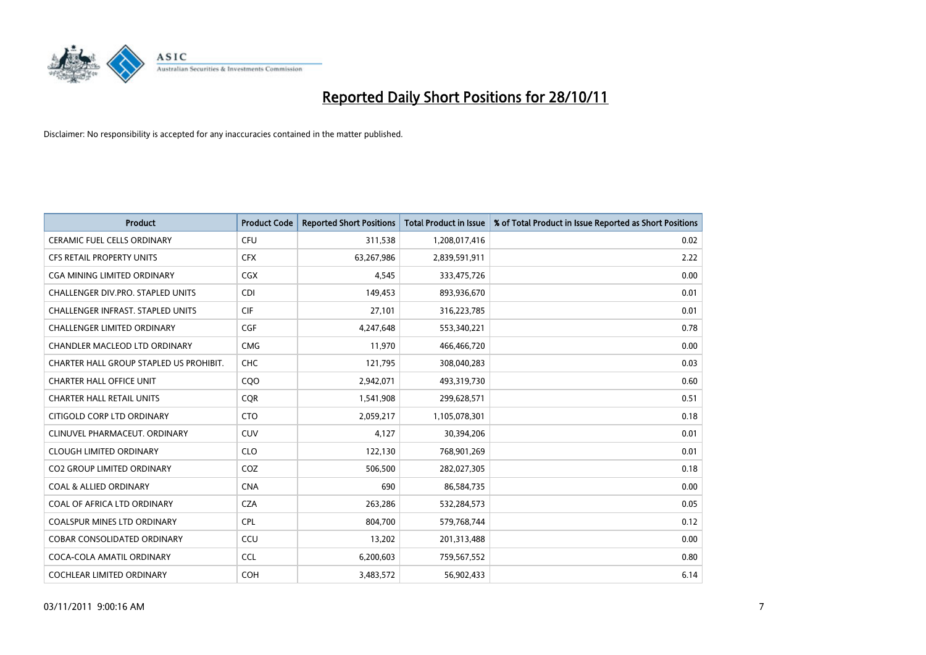

| <b>Product</b>                          | <b>Product Code</b> | <b>Reported Short Positions</b> | <b>Total Product in Issue</b> | % of Total Product in Issue Reported as Short Positions |
|-----------------------------------------|---------------------|---------------------------------|-------------------------------|---------------------------------------------------------|
| <b>CERAMIC FUEL CELLS ORDINARY</b>      | <b>CFU</b>          | 311,538                         | 1,208,017,416                 | 0.02                                                    |
| <b>CFS RETAIL PROPERTY UNITS</b>        | <b>CFX</b>          | 63,267,986                      | 2,839,591,911                 | 2.22                                                    |
| <b>CGA MINING LIMITED ORDINARY</b>      | <b>CGX</b>          | 4,545                           | 333,475,726                   | 0.00                                                    |
| CHALLENGER DIV.PRO. STAPLED UNITS       | <b>CDI</b>          | 149,453                         | 893,936,670                   | 0.01                                                    |
| CHALLENGER INFRAST. STAPLED UNITS       | <b>CIF</b>          | 27,101                          | 316,223,785                   | 0.01                                                    |
| <b>CHALLENGER LIMITED ORDINARY</b>      | <b>CGF</b>          | 4,247,648                       | 553,340,221                   | 0.78                                                    |
| CHANDLER MACLEOD LTD ORDINARY           | <b>CMG</b>          | 11,970                          | 466,466,720                   | 0.00                                                    |
| CHARTER HALL GROUP STAPLED US PROHIBIT. | <b>CHC</b>          | 121,795                         | 308,040,283                   | 0.03                                                    |
| <b>CHARTER HALL OFFICE UNIT</b>         | CQO                 | 2,942,071                       | 493,319,730                   | 0.60                                                    |
| <b>CHARTER HALL RETAIL UNITS</b>        | <b>COR</b>          | 1,541,908                       | 299,628,571                   | 0.51                                                    |
| CITIGOLD CORP LTD ORDINARY              | <b>CTO</b>          | 2,059,217                       | 1,105,078,301                 | 0.18                                                    |
| CLINUVEL PHARMACEUT. ORDINARY           | <b>CUV</b>          | 4,127                           | 30,394,206                    | 0.01                                                    |
| <b>CLOUGH LIMITED ORDINARY</b>          | <b>CLO</b>          | 122,130                         | 768,901,269                   | 0.01                                                    |
| <b>CO2 GROUP LIMITED ORDINARY</b>       | COZ                 | 506,500                         | 282,027,305                   | 0.18                                                    |
| <b>COAL &amp; ALLIED ORDINARY</b>       | <b>CNA</b>          | 690                             | 86,584,735                    | 0.00                                                    |
| COAL OF AFRICA LTD ORDINARY             | <b>CZA</b>          | 263,286                         | 532,284,573                   | 0.05                                                    |
| <b>COALSPUR MINES LTD ORDINARY</b>      | <b>CPL</b>          | 804,700                         | 579,768,744                   | 0.12                                                    |
| COBAR CONSOLIDATED ORDINARY             | CCU                 | 13,202                          | 201,313,488                   | 0.00                                                    |
| COCA-COLA AMATIL ORDINARY               | <b>CCL</b>          | 6,200,603                       | 759,567,552                   | 0.80                                                    |
| <b>COCHLEAR LIMITED ORDINARY</b>        | <b>COH</b>          | 3,483,572                       | 56,902,433                    | 6.14                                                    |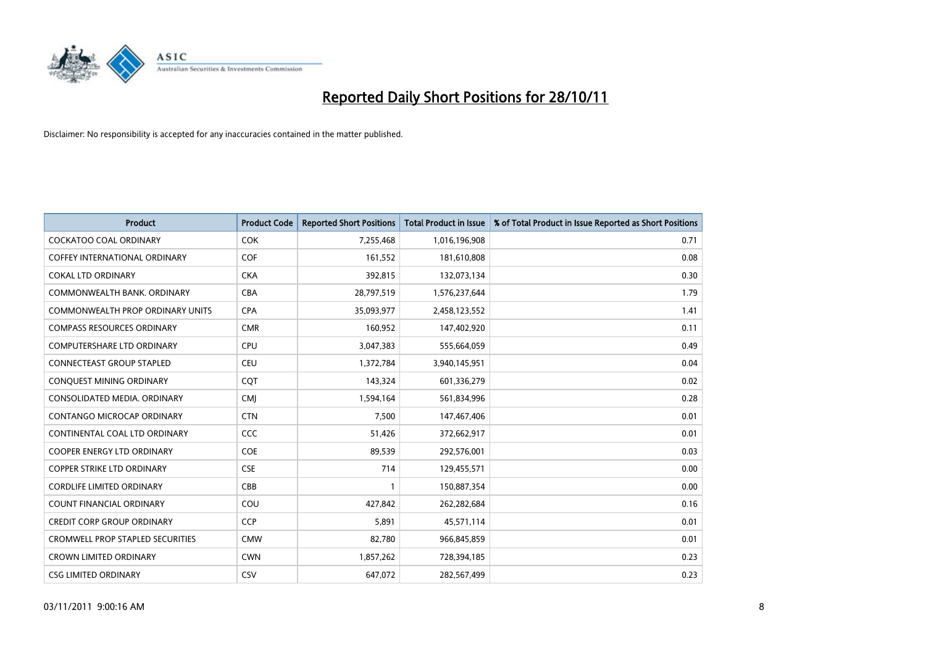

| <b>Product</b>                          | <b>Product Code</b> | <b>Reported Short Positions</b> | <b>Total Product in Issue</b> | % of Total Product in Issue Reported as Short Positions |
|-----------------------------------------|---------------------|---------------------------------|-------------------------------|---------------------------------------------------------|
| <b>COCKATOO COAL ORDINARY</b>           | <b>COK</b>          | 7,255,468                       | 1,016,196,908                 | 0.71                                                    |
| <b>COFFEY INTERNATIONAL ORDINARY</b>    | <b>COF</b>          | 161,552                         | 181,610,808                   | 0.08                                                    |
| <b>COKAL LTD ORDINARY</b>               | <b>CKA</b>          | 392,815                         | 132,073,134                   | 0.30                                                    |
| COMMONWEALTH BANK, ORDINARY             | CBA                 | 28,797,519                      | 1,576,237,644                 | 1.79                                                    |
| <b>COMMONWEALTH PROP ORDINARY UNITS</b> | <b>CPA</b>          | 35,093,977                      | 2,458,123,552                 | 1.41                                                    |
| <b>COMPASS RESOURCES ORDINARY</b>       | <b>CMR</b>          | 160,952                         | 147,402,920                   | 0.11                                                    |
| <b>COMPUTERSHARE LTD ORDINARY</b>       | <b>CPU</b>          | 3,047,383                       | 555,664,059                   | 0.49                                                    |
| <b>CONNECTEAST GROUP STAPLED</b>        | CEU                 | 1,372,784                       | 3,940,145,951                 | 0.04                                                    |
| CONQUEST MINING ORDINARY                | <b>CQT</b>          | 143,324                         | 601,336,279                   | 0.02                                                    |
| CONSOLIDATED MEDIA, ORDINARY            | <b>CMI</b>          | 1,594,164                       | 561,834,996                   | 0.28                                                    |
| CONTANGO MICROCAP ORDINARY              | <b>CTN</b>          | 7,500                           | 147,467,406                   | 0.01                                                    |
| CONTINENTAL COAL LTD ORDINARY           | CCC                 | 51,426                          | 372,662,917                   | 0.01                                                    |
| <b>COOPER ENERGY LTD ORDINARY</b>       | <b>COE</b>          | 89,539                          | 292,576,001                   | 0.03                                                    |
| <b>COPPER STRIKE LTD ORDINARY</b>       | <b>CSE</b>          | 714                             | 129,455,571                   | 0.00                                                    |
| <b>CORDLIFE LIMITED ORDINARY</b>        | CBB                 | $\mathbf{1}$                    | 150,887,354                   | 0.00                                                    |
| <b>COUNT FINANCIAL ORDINARY</b>         | COU                 | 427,842                         | 262,282,684                   | 0.16                                                    |
| <b>CREDIT CORP GROUP ORDINARY</b>       | CCP                 | 5,891                           | 45,571,114                    | 0.01                                                    |
| <b>CROMWELL PROP STAPLED SECURITIES</b> | <b>CMW</b>          | 82,780                          | 966,845,859                   | 0.01                                                    |
| <b>CROWN LIMITED ORDINARY</b>           | <b>CWN</b>          | 1,857,262                       | 728,394,185                   | 0.23                                                    |
| <b>CSG LIMITED ORDINARY</b>             | CSV                 | 647.072                         | 282,567,499                   | 0.23                                                    |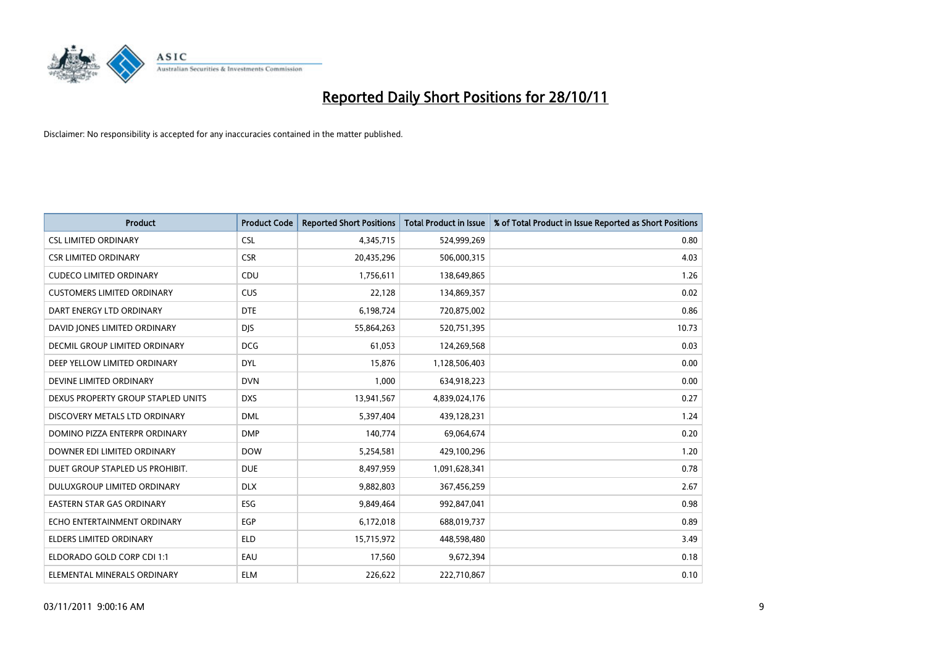

| <b>Product</b>                       | <b>Product Code</b> | <b>Reported Short Positions</b> | <b>Total Product in Issue</b> | % of Total Product in Issue Reported as Short Positions |
|--------------------------------------|---------------------|---------------------------------|-------------------------------|---------------------------------------------------------|
| <b>CSL LIMITED ORDINARY</b>          | <b>CSL</b>          | 4,345,715                       | 524,999,269                   | 0.80                                                    |
| <b>CSR LIMITED ORDINARY</b>          | <b>CSR</b>          | 20,435,296                      | 506,000,315                   | 4.03                                                    |
| <b>CUDECO LIMITED ORDINARY</b>       | CDU                 | 1,756,611                       | 138,649,865                   | 1.26                                                    |
| <b>CUSTOMERS LIMITED ORDINARY</b>    | CUS                 | 22,128                          | 134,869,357                   | 0.02                                                    |
| DART ENERGY LTD ORDINARY             | <b>DTE</b>          | 6,198,724                       | 720,875,002                   | 0.86                                                    |
| DAVID JONES LIMITED ORDINARY         | <b>DJS</b>          | 55,864,263                      | 520,751,395                   | 10.73                                                   |
| <b>DECMIL GROUP LIMITED ORDINARY</b> | <b>DCG</b>          | 61,053                          | 124,269,568                   | 0.03                                                    |
| DEEP YELLOW LIMITED ORDINARY         | <b>DYL</b>          | 15,876                          | 1,128,506,403                 | 0.00                                                    |
| DEVINE LIMITED ORDINARY              | <b>DVN</b>          | 1,000                           | 634,918,223                   | 0.00                                                    |
| DEXUS PROPERTY GROUP STAPLED UNITS   | <b>DXS</b>          | 13,941,567                      | 4,839,024,176                 | 0.27                                                    |
| DISCOVERY METALS LTD ORDINARY        | <b>DML</b>          | 5,397,404                       | 439,128,231                   | 1.24                                                    |
| DOMINO PIZZA ENTERPR ORDINARY        | <b>DMP</b>          | 140,774                         | 69,064,674                    | 0.20                                                    |
| DOWNER EDI LIMITED ORDINARY          | <b>DOW</b>          | 5,254,581                       | 429,100,296                   | 1.20                                                    |
| DUET GROUP STAPLED US PROHIBIT.      | <b>DUE</b>          | 8,497,959                       | 1,091,628,341                 | 0.78                                                    |
| DULUXGROUP LIMITED ORDINARY          | <b>DLX</b>          | 9,882,803                       | 367,456,259                   | 2.67                                                    |
| EASTERN STAR GAS ORDINARY            | <b>ESG</b>          | 9,849,464                       | 992,847,041                   | 0.98                                                    |
| ECHO ENTERTAINMENT ORDINARY          | <b>EGP</b>          | 6,172,018                       | 688,019,737                   | 0.89                                                    |
| ELDERS LIMITED ORDINARY              | <b>ELD</b>          | 15,715,972                      | 448,598,480                   | 3.49                                                    |
| ELDORADO GOLD CORP CDI 1:1           | EAU                 | 17,560                          | 9,672,394                     | 0.18                                                    |
| ELEMENTAL MINERALS ORDINARY          | <b>ELM</b>          | 226,622                         | 222,710,867                   | 0.10                                                    |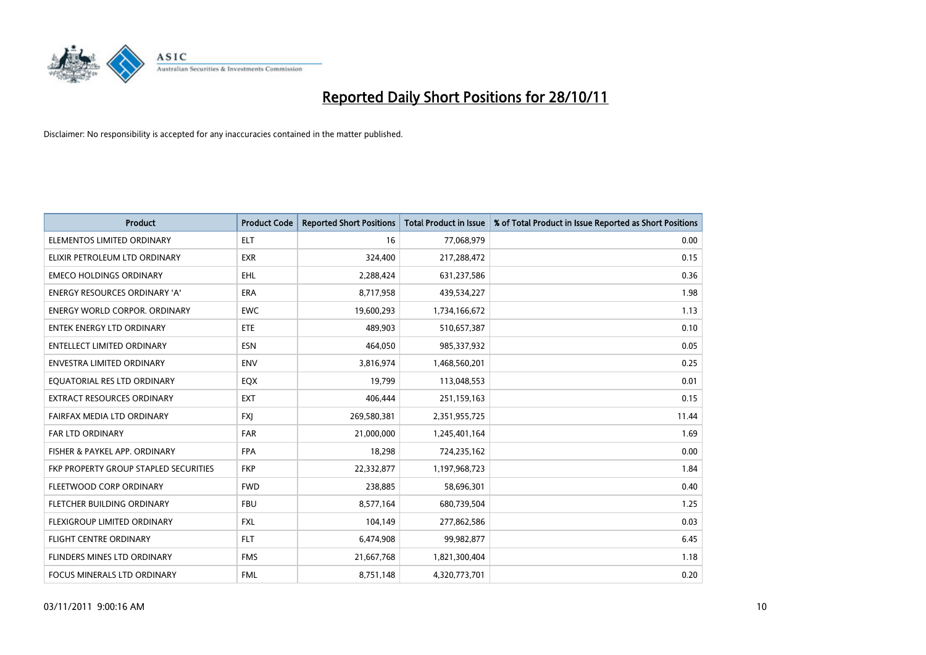

| <b>Product</b>                               | <b>Product Code</b> | <b>Reported Short Positions</b> | <b>Total Product in Issue</b> | % of Total Product in Issue Reported as Short Positions |
|----------------------------------------------|---------------------|---------------------------------|-------------------------------|---------------------------------------------------------|
| ELEMENTOS LIMITED ORDINARY                   | <b>ELT</b>          | 16                              | 77,068,979                    | 0.00                                                    |
| ELIXIR PETROLEUM LTD ORDINARY                | <b>EXR</b>          | 324,400                         | 217,288,472                   | 0.15                                                    |
| <b>EMECO HOLDINGS ORDINARY</b>               | <b>EHL</b>          | 2,288,424                       | 631,237,586                   | 0.36                                                    |
| ENERGY RESOURCES ORDINARY 'A'                | <b>ERA</b>          | 8,717,958                       | 439,534,227                   | 1.98                                                    |
| <b>ENERGY WORLD CORPOR, ORDINARY</b>         | <b>EWC</b>          | 19,600,293                      | 1,734,166,672                 | 1.13                                                    |
| <b>ENTEK ENERGY LTD ORDINARY</b>             | <b>ETE</b>          | 489,903                         | 510,657,387                   | 0.10                                                    |
| ENTELLECT LIMITED ORDINARY                   | <b>ESN</b>          | 464,050                         | 985,337,932                   | 0.05                                                    |
| <b>ENVESTRA LIMITED ORDINARY</b>             | <b>ENV</b>          | 3,816,974                       | 1,468,560,201                 | 0.25                                                    |
| EQUATORIAL RES LTD ORDINARY                  | EQX                 | 19,799                          | 113,048,553                   | 0.01                                                    |
| EXTRACT RESOURCES ORDINARY                   | <b>EXT</b>          | 406,444                         | 251,159,163                   | 0.15                                                    |
| FAIRFAX MEDIA LTD ORDINARY                   | <b>FXI</b>          | 269,580,381                     | 2,351,955,725                 | 11.44                                                   |
| FAR LTD ORDINARY                             | <b>FAR</b>          | 21,000,000                      | 1,245,401,164                 | 1.69                                                    |
| FISHER & PAYKEL APP. ORDINARY                | <b>FPA</b>          | 18,298                          | 724,235,162                   | 0.00                                                    |
| <b>FKP PROPERTY GROUP STAPLED SECURITIES</b> | <b>FKP</b>          | 22,332,877                      | 1,197,968,723                 | 1.84                                                    |
| FLEETWOOD CORP ORDINARY                      | <b>FWD</b>          | 238,885                         | 58,696,301                    | 0.40                                                    |
| FLETCHER BUILDING ORDINARY                   | <b>FBU</b>          | 8,577,164                       | 680,739,504                   | 1.25                                                    |
| FLEXIGROUP LIMITED ORDINARY                  | <b>FXL</b>          | 104,149                         | 277,862,586                   | 0.03                                                    |
| <b>FLIGHT CENTRE ORDINARY</b>                | <b>FLT</b>          | 6,474,908                       | 99,982,877                    | 6.45                                                    |
| FLINDERS MINES LTD ORDINARY                  | <b>FMS</b>          | 21,667,768                      | 1,821,300,404                 | 1.18                                                    |
| FOCUS MINERALS LTD ORDINARY                  | <b>FML</b>          | 8,751,148                       | 4,320,773,701                 | 0.20                                                    |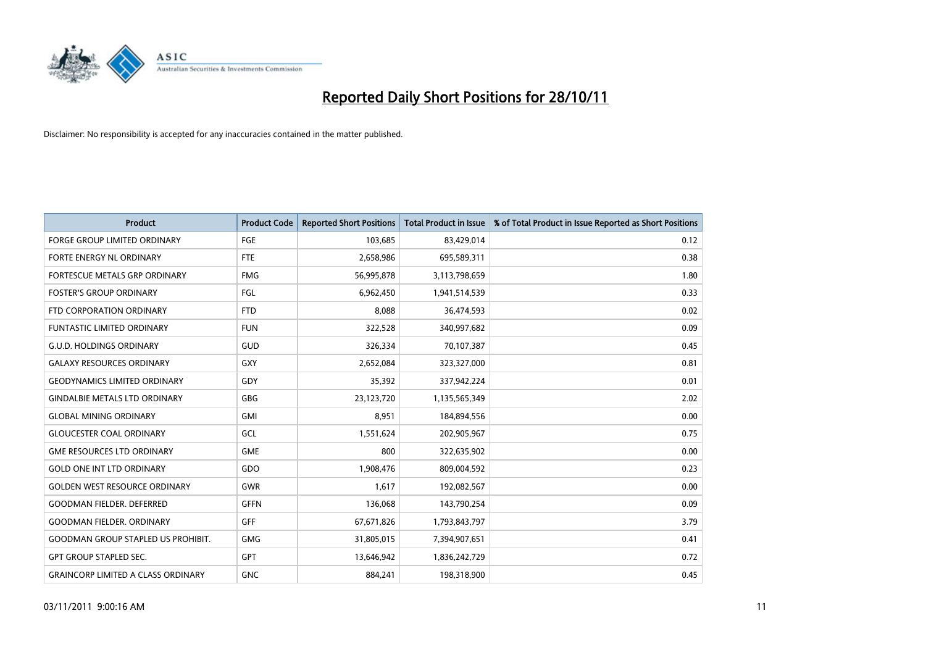

| <b>Product</b>                            | <b>Product Code</b> | <b>Reported Short Positions</b> | <b>Total Product in Issue</b> | % of Total Product in Issue Reported as Short Positions |
|-------------------------------------------|---------------------|---------------------------------|-------------------------------|---------------------------------------------------------|
| <b>FORGE GROUP LIMITED ORDINARY</b>       | FGE                 | 103,685                         | 83,429,014                    | 0.12                                                    |
| FORTE ENERGY NL ORDINARY                  | <b>FTE</b>          | 2,658,986                       | 695,589,311                   | 0.38                                                    |
| FORTESCUE METALS GRP ORDINARY             | <b>FMG</b>          | 56,995,878                      | 3,113,798,659                 | 1.80                                                    |
| <b>FOSTER'S GROUP ORDINARY</b>            | FGL                 | 6,962,450                       | 1,941,514,539                 | 0.33                                                    |
| FTD CORPORATION ORDINARY                  | <b>FTD</b>          | 8,088                           | 36,474,593                    | 0.02                                                    |
| <b>FUNTASTIC LIMITED ORDINARY</b>         | <b>FUN</b>          | 322,528                         | 340,997,682                   | 0.09                                                    |
| <b>G.U.D. HOLDINGS ORDINARY</b>           | GUD                 | 326,334                         | 70,107,387                    | 0.45                                                    |
| <b>GALAXY RESOURCES ORDINARY</b>          | GXY                 | 2,652,084                       | 323,327,000                   | 0.81                                                    |
| <b>GEODYNAMICS LIMITED ORDINARY</b>       | GDY                 | 35,392                          | 337,942,224                   | 0.01                                                    |
| <b>GINDALBIE METALS LTD ORDINARY</b>      | GBG                 | 23,123,720                      | 1,135,565,349                 | 2.02                                                    |
| <b>GLOBAL MINING ORDINARY</b>             | GMI                 | 8,951                           | 184,894,556                   | 0.00                                                    |
| <b>GLOUCESTER COAL ORDINARY</b>           | GCL                 | 1,551,624                       | 202,905,967                   | 0.75                                                    |
| <b>GME RESOURCES LTD ORDINARY</b>         | <b>GME</b>          | 800                             | 322,635,902                   | 0.00                                                    |
| <b>GOLD ONE INT LTD ORDINARY</b>          | GDO                 | 1,908,476                       | 809,004,592                   | 0.23                                                    |
| <b>GOLDEN WEST RESOURCE ORDINARY</b>      | <b>GWR</b>          | 1,617                           | 192,082,567                   | 0.00                                                    |
| <b>GOODMAN FIELDER. DEFERRED</b>          | <b>GFFN</b>         | 136,068                         | 143,790,254                   | 0.09                                                    |
| <b>GOODMAN FIELDER, ORDINARY</b>          | <b>GFF</b>          | 67,671,826                      | 1,793,843,797                 | 3.79                                                    |
| <b>GOODMAN GROUP STAPLED US PROHIBIT.</b> | <b>GMG</b>          | 31,805,015                      | 7,394,907,651                 | 0.41                                                    |
| <b>GPT GROUP STAPLED SEC.</b>             | <b>GPT</b>          | 13,646,942                      | 1,836,242,729                 | 0.72                                                    |
| <b>GRAINCORP LIMITED A CLASS ORDINARY</b> | <b>GNC</b>          | 884.241                         | 198,318,900                   | 0.45                                                    |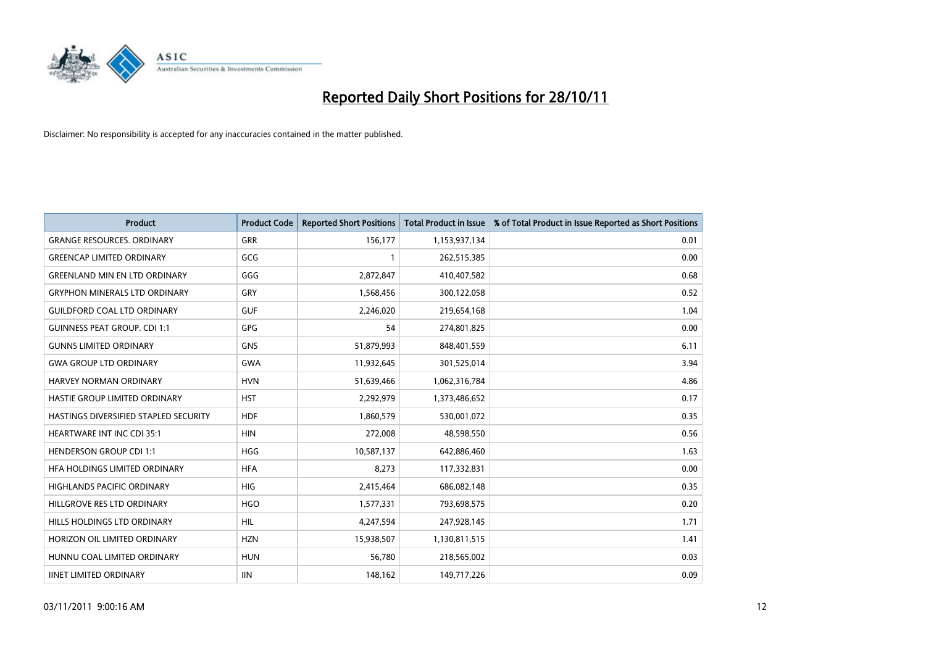

| <b>Product</b>                        | <b>Product Code</b> | <b>Reported Short Positions</b> | <b>Total Product in Issue</b> | % of Total Product in Issue Reported as Short Positions |
|---------------------------------------|---------------------|---------------------------------|-------------------------------|---------------------------------------------------------|
| <b>GRANGE RESOURCES, ORDINARY</b>     | <b>GRR</b>          | 156,177                         | 1,153,937,134                 | 0.01                                                    |
| <b>GREENCAP LIMITED ORDINARY</b>      | GCG                 |                                 | 262,515,385                   | 0.00                                                    |
| <b>GREENLAND MIN EN LTD ORDINARY</b>  | GGG                 | 2,872,847                       | 410,407,582                   | 0.68                                                    |
| <b>GRYPHON MINERALS LTD ORDINARY</b>  | GRY                 | 1,568,456                       | 300,122,058                   | 0.52                                                    |
| <b>GUILDFORD COAL LTD ORDINARY</b>    | <b>GUF</b>          | 2,246,020                       | 219,654,168                   | 1.04                                                    |
| <b>GUINNESS PEAT GROUP. CDI 1:1</b>   | <b>GPG</b>          | 54                              | 274,801,825                   | 0.00                                                    |
| <b>GUNNS LIMITED ORDINARY</b>         | <b>GNS</b>          | 51,879,993                      | 848,401,559                   | 6.11                                                    |
| <b>GWA GROUP LTD ORDINARY</b>         | <b>GWA</b>          | 11,932,645                      | 301,525,014                   | 3.94                                                    |
| HARVEY NORMAN ORDINARY                | <b>HVN</b>          | 51,639,466                      | 1,062,316,784                 | 4.86                                                    |
| HASTIE GROUP LIMITED ORDINARY         | <b>HST</b>          | 2,292,979                       | 1,373,486,652                 | 0.17                                                    |
| HASTINGS DIVERSIFIED STAPLED SECURITY | <b>HDF</b>          | 1,860,579                       | 530,001,072                   | 0.35                                                    |
| <b>HEARTWARE INT INC CDI 35:1</b>     | <b>HIN</b>          | 272,008                         | 48,598,550                    | 0.56                                                    |
| <b>HENDERSON GROUP CDI 1:1</b>        | <b>HGG</b>          | 10,587,137                      | 642,886,460                   | 1.63                                                    |
| HFA HOLDINGS LIMITED ORDINARY         | <b>HFA</b>          | 8,273                           | 117,332,831                   | 0.00                                                    |
| <b>HIGHLANDS PACIFIC ORDINARY</b>     | <b>HIG</b>          | 2,415,464                       | 686,082,148                   | 0.35                                                    |
| HILLGROVE RES LTD ORDINARY            | <b>HGO</b>          | 1,577,331                       | 793,698,575                   | 0.20                                                    |
| HILLS HOLDINGS LTD ORDINARY           | <b>HIL</b>          | 4,247,594                       | 247,928,145                   | 1.71                                                    |
| HORIZON OIL LIMITED ORDINARY          | <b>HZN</b>          | 15,938,507                      | 1,130,811,515                 | 1.41                                                    |
| HUNNU COAL LIMITED ORDINARY           | <b>HUN</b>          | 56,780                          | 218,565,002                   | 0.03                                                    |
| <b>IINET LIMITED ORDINARY</b>         | <b>IIN</b>          | 148,162                         | 149,717,226                   | 0.09                                                    |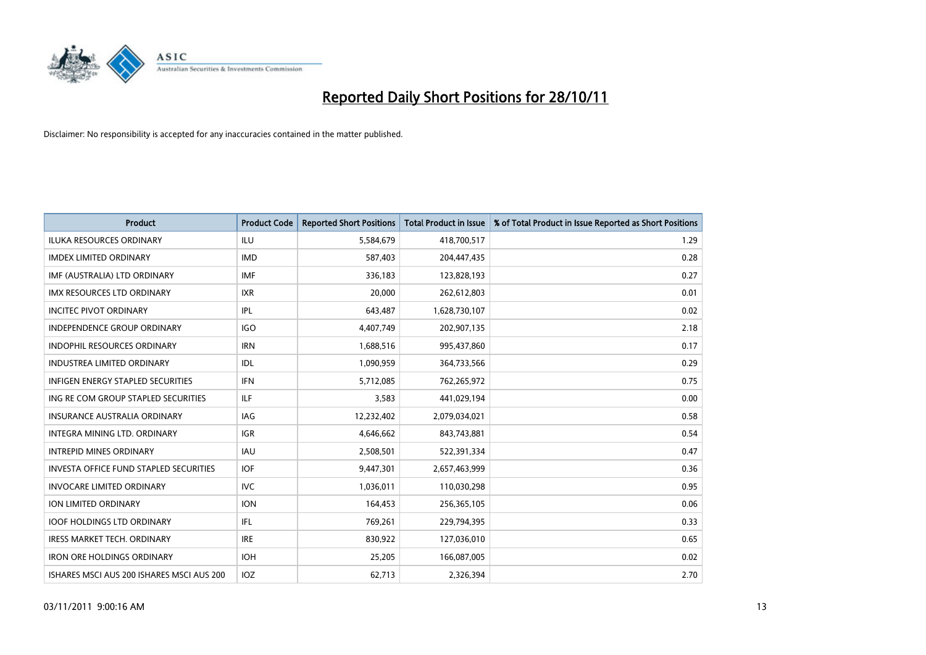

| <b>Product</b>                                | <b>Product Code</b> | <b>Reported Short Positions</b> | <b>Total Product in Issue</b> | % of Total Product in Issue Reported as Short Positions |
|-----------------------------------------------|---------------------|---------------------------------|-------------------------------|---------------------------------------------------------|
| <b>ILUKA RESOURCES ORDINARY</b>               | ILU                 | 5,584,679                       | 418,700,517                   | 1.29                                                    |
| <b>IMDEX LIMITED ORDINARY</b>                 | <b>IMD</b>          | 587,403                         | 204,447,435                   | 0.28                                                    |
| IMF (AUSTRALIA) LTD ORDINARY                  | <b>IMF</b>          | 336,183                         | 123,828,193                   | 0.27                                                    |
| IMX RESOURCES LTD ORDINARY                    | <b>IXR</b>          | 20,000                          | 262,612,803                   | 0.01                                                    |
| <b>INCITEC PIVOT ORDINARY</b>                 | IPL                 | 643,487                         | 1,628,730,107                 | 0.02                                                    |
| <b>INDEPENDENCE GROUP ORDINARY</b>            | <b>IGO</b>          | 4,407,749                       | 202,907,135                   | 2.18                                                    |
| <b>INDOPHIL RESOURCES ORDINARY</b>            | <b>IRN</b>          | 1,688,516                       | 995,437,860                   | 0.17                                                    |
| <b>INDUSTREA LIMITED ORDINARY</b>             | IDL                 | 1,090,959                       | 364,733,566                   | 0.29                                                    |
| INFIGEN ENERGY STAPLED SECURITIES             | <b>IFN</b>          | 5,712,085                       | 762,265,972                   | 0.75                                                    |
| ING RE COM GROUP STAPLED SECURITIES           | ILF.                | 3,583                           | 441,029,194                   | 0.00                                                    |
| INSURANCE AUSTRALIA ORDINARY                  | IAG                 | 12,232,402                      | 2,079,034,021                 | 0.58                                                    |
| <b>INTEGRA MINING LTD, ORDINARY</b>           | <b>IGR</b>          | 4,646,662                       | 843,743,881                   | 0.54                                                    |
| <b>INTREPID MINES ORDINARY</b>                | <b>IAU</b>          | 2,508,501                       | 522,391,334                   | 0.47                                                    |
| <b>INVESTA OFFICE FUND STAPLED SECURITIES</b> | <b>IOF</b>          | 9,447,301                       | 2,657,463,999                 | 0.36                                                    |
| <b>INVOCARE LIMITED ORDINARY</b>              | <b>IVC</b>          | 1,036,011                       | 110,030,298                   | 0.95                                                    |
| ION LIMITED ORDINARY                          | <b>ION</b>          | 164,453                         | 256,365,105                   | 0.06                                                    |
| <b>IOOF HOLDINGS LTD ORDINARY</b>             | <b>IFL</b>          | 769,261                         | 229,794,395                   | 0.33                                                    |
| IRESS MARKET TECH. ORDINARY                   | <b>IRE</b>          | 830,922                         | 127,036,010                   | 0.65                                                    |
| <b>IRON ORE HOLDINGS ORDINARY</b>             | <b>IOH</b>          | 25,205                          | 166,087,005                   | 0.02                                                    |
| ISHARES MSCI AUS 200 ISHARES MSCI AUS 200     | <b>IOZ</b>          | 62,713                          | 2,326,394                     | 2.70                                                    |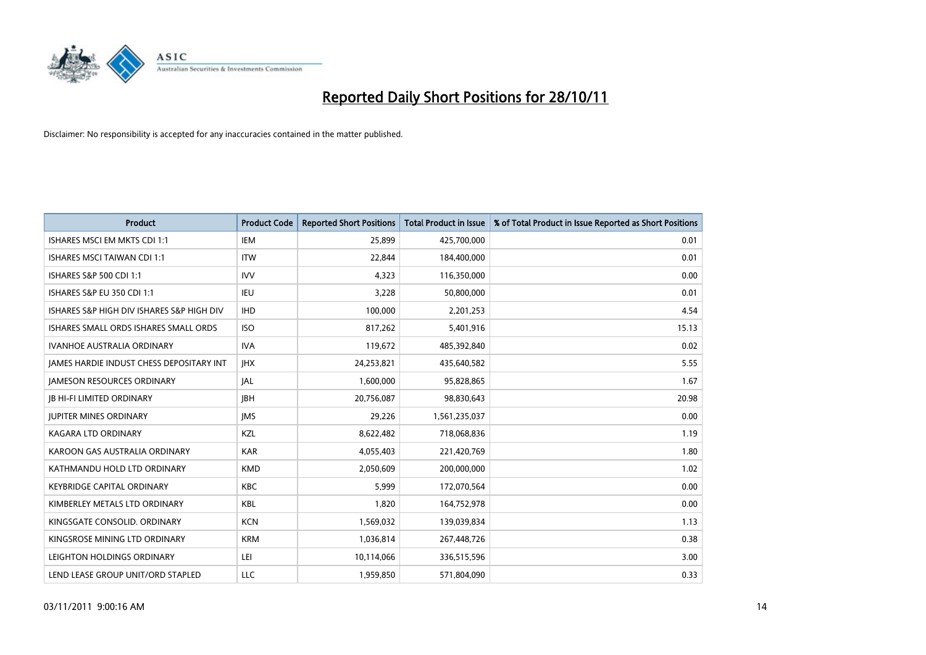

| <b>Product</b>                            | <b>Product Code</b> | <b>Reported Short Positions</b> | <b>Total Product in Issue</b> | % of Total Product in Issue Reported as Short Positions |
|-------------------------------------------|---------------------|---------------------------------|-------------------------------|---------------------------------------------------------|
| ISHARES MSCI EM MKTS CDI 1:1              | <b>IEM</b>          | 25,899                          | 425,700,000                   | 0.01                                                    |
| ISHARES MSCI TAIWAN CDI 1:1               | <b>ITW</b>          | 22,844                          | 184,400,000                   | 0.01                                                    |
| ISHARES S&P 500 CDI 1:1                   | <b>IVV</b>          | 4,323                           | 116,350,000                   | 0.00                                                    |
| ISHARES S&P EU 350 CDI 1:1                | IEU                 | 3,228                           | 50,800,000                    | 0.01                                                    |
| ISHARES S&P HIGH DIV ISHARES S&P HIGH DIV | <b>IHD</b>          | 100,000                         | 2,201,253                     | 4.54                                                    |
| ISHARES SMALL ORDS ISHARES SMALL ORDS     | <b>ISO</b>          | 817,262                         | 5,401,916                     | 15.13                                                   |
| <b>IVANHOE AUSTRALIA ORDINARY</b>         | <b>IVA</b>          | 119,672                         | 485,392,840                   | 0.02                                                    |
| JAMES HARDIE INDUST CHESS DEPOSITARY INT  | <b>IHX</b>          | 24,253,821                      | 435,640,582                   | 5.55                                                    |
| <b>JAMESON RESOURCES ORDINARY</b>         | <b>JAL</b>          | 1,600,000                       | 95,828,865                    | 1.67                                                    |
| <b>JB HI-FI LIMITED ORDINARY</b>          | <b>IBH</b>          | 20,756,087                      | 98,830,643                    | 20.98                                                   |
| <b>JUPITER MINES ORDINARY</b>             | <b>IMS</b>          | 29,226                          | 1,561,235,037                 | 0.00                                                    |
| <b>KAGARA LTD ORDINARY</b>                | <b>KZL</b>          | 8,622,482                       | 718,068,836                   | 1.19                                                    |
| KAROON GAS AUSTRALIA ORDINARY             | <b>KAR</b>          | 4,055,403                       | 221,420,769                   | 1.80                                                    |
| KATHMANDU HOLD LTD ORDINARY               | <b>KMD</b>          | 2,050,609                       | 200,000,000                   | 1.02                                                    |
| <b>KEYBRIDGE CAPITAL ORDINARY</b>         | <b>KBC</b>          | 5,999                           | 172,070,564                   | 0.00                                                    |
| KIMBERLEY METALS LTD ORDINARY             | <b>KBL</b>          | 1,820                           | 164,752,978                   | 0.00                                                    |
| KINGSGATE CONSOLID. ORDINARY              | <b>KCN</b>          | 1,569,032                       | 139,039,834                   | 1.13                                                    |
| KINGSROSE MINING LTD ORDINARY             | <b>KRM</b>          | 1,036,814                       | 267,448,726                   | 0.38                                                    |
| LEIGHTON HOLDINGS ORDINARY                | LEI                 | 10,114,066                      | 336,515,596                   | 3.00                                                    |
| LEND LEASE GROUP UNIT/ORD STAPLED         | LLC                 | 1,959,850                       | 571,804,090                   | 0.33                                                    |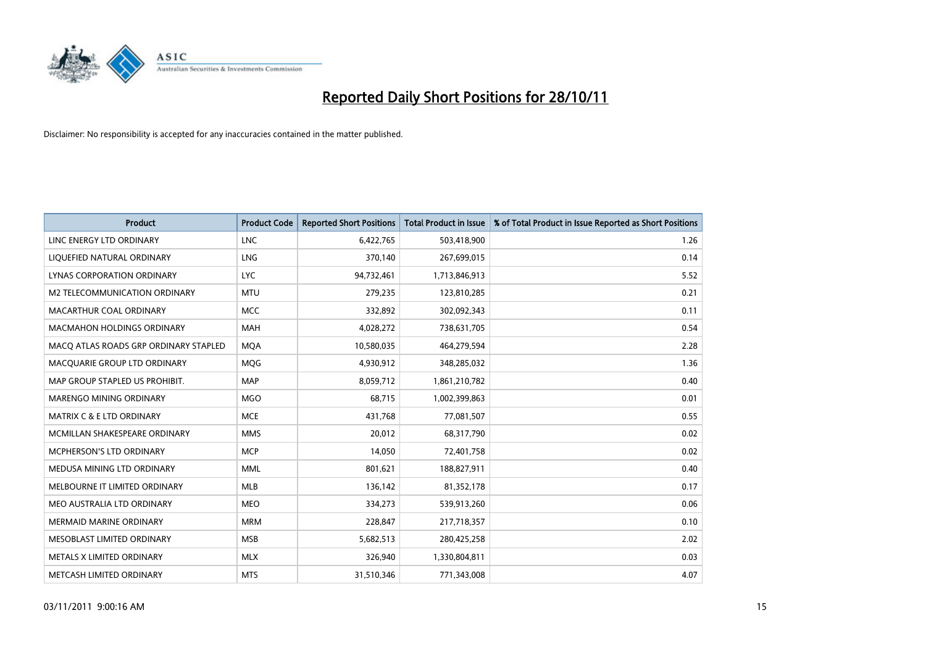

| <b>Product</b>                        | <b>Product Code</b> | <b>Reported Short Positions</b> | <b>Total Product in Issue</b> | % of Total Product in Issue Reported as Short Positions |
|---------------------------------------|---------------------|---------------------------------|-------------------------------|---------------------------------------------------------|
| LINC ENERGY LTD ORDINARY              | <b>LNC</b>          | 6,422,765                       | 503,418,900                   | 1.26                                                    |
| LIQUEFIED NATURAL ORDINARY            | <b>LNG</b>          | 370,140                         | 267,699,015                   | 0.14                                                    |
| LYNAS CORPORATION ORDINARY            | <b>LYC</b>          | 94,732,461                      | 1,713,846,913                 | 5.52                                                    |
| M2 TELECOMMUNICATION ORDINARY         | <b>MTU</b>          | 279,235                         | 123,810,285                   | 0.21                                                    |
| MACARTHUR COAL ORDINARY               | <b>MCC</b>          | 332,892                         | 302,092,343                   | 0.11                                                    |
| <b>MACMAHON HOLDINGS ORDINARY</b>     | <b>MAH</b>          | 4,028,272                       | 738,631,705                   | 0.54                                                    |
| MACQ ATLAS ROADS GRP ORDINARY STAPLED | <b>MOA</b>          | 10,580,035                      | 464,279,594                   | 2.28                                                    |
| MACQUARIE GROUP LTD ORDINARY          | <b>MOG</b>          | 4,930,912                       | 348,285,032                   | 1.36                                                    |
| MAP GROUP STAPLED US PROHIBIT.        | <b>MAP</b>          | 8,059,712                       | 1,861,210,782                 | 0.40                                                    |
| <b>MARENGO MINING ORDINARY</b>        | <b>MGO</b>          | 68,715                          | 1,002,399,863                 | 0.01                                                    |
| MATRIX C & E LTD ORDINARY             | <b>MCE</b>          | 431,768                         | 77,081,507                    | 0.55                                                    |
| MCMILLAN SHAKESPEARE ORDINARY         | <b>MMS</b>          | 20,012                          | 68,317,790                    | 0.02                                                    |
| MCPHERSON'S LTD ORDINARY              | <b>MCP</b>          | 14,050                          | 72,401,758                    | 0.02                                                    |
| MEDUSA MINING LTD ORDINARY            | <b>MML</b>          | 801,621                         | 188,827,911                   | 0.40                                                    |
| MELBOURNE IT LIMITED ORDINARY         | <b>MLB</b>          | 136,142                         | 81,352,178                    | 0.17                                                    |
| MEO AUSTRALIA LTD ORDINARY            | <b>MEO</b>          | 334,273                         | 539,913,260                   | 0.06                                                    |
| <b>MERMAID MARINE ORDINARY</b>        | <b>MRM</b>          | 228,847                         | 217,718,357                   | 0.10                                                    |
| MESOBLAST LIMITED ORDINARY            | <b>MSB</b>          | 5,682,513                       | 280,425,258                   | 2.02                                                    |
| METALS X LIMITED ORDINARY             | <b>MLX</b>          | 326,940                         | 1,330,804,811                 | 0.03                                                    |
| METCASH LIMITED ORDINARY              | <b>MTS</b>          | 31,510,346                      | 771,343,008                   | 4.07                                                    |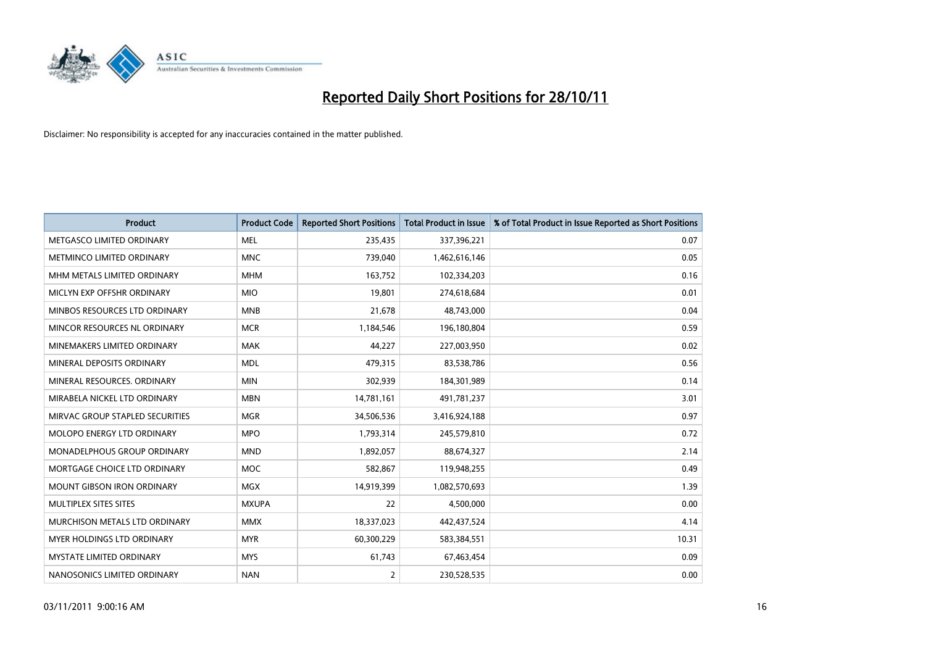

| <b>Product</b>                     | <b>Product Code</b> | <b>Reported Short Positions</b> | <b>Total Product in Issue</b> | % of Total Product in Issue Reported as Short Positions |
|------------------------------------|---------------------|---------------------------------|-------------------------------|---------------------------------------------------------|
| METGASCO LIMITED ORDINARY          | <b>MEL</b>          | 235,435                         | 337,396,221                   | 0.07                                                    |
| METMINCO LIMITED ORDINARY          | <b>MNC</b>          | 739,040                         | 1,462,616,146                 | 0.05                                                    |
| MHM METALS LIMITED ORDINARY        | <b>MHM</b>          | 163,752                         | 102,334,203                   | 0.16                                                    |
| MICLYN EXP OFFSHR ORDINARY         | <b>MIO</b>          | 19,801                          | 274,618,684                   | 0.01                                                    |
| MINBOS RESOURCES LTD ORDINARY      | <b>MNB</b>          | 21,678                          | 48,743,000                    | 0.04                                                    |
| MINCOR RESOURCES NL ORDINARY       | <b>MCR</b>          | 1,184,546                       | 196,180,804                   | 0.59                                                    |
| MINEMAKERS LIMITED ORDINARY        | <b>MAK</b>          | 44,227                          | 227,003,950                   | 0.02                                                    |
| MINERAL DEPOSITS ORDINARY          | <b>MDL</b>          | 479,315                         | 83,538,786                    | 0.56                                                    |
| MINERAL RESOURCES, ORDINARY        | <b>MIN</b>          | 302,939                         | 184,301,989                   | 0.14                                                    |
| MIRABELA NICKEL LTD ORDINARY       | <b>MBN</b>          | 14,781,161                      | 491,781,237                   | 3.01                                                    |
| MIRVAC GROUP STAPLED SECURITIES    | <b>MGR</b>          | 34,506,536                      | 3,416,924,188                 | 0.97                                                    |
| MOLOPO ENERGY LTD ORDINARY         | <b>MPO</b>          | 1,793,314                       | 245,579,810                   | 0.72                                                    |
| <b>MONADELPHOUS GROUP ORDINARY</b> | <b>MND</b>          | 1,892,057                       | 88,674,327                    | 2.14                                                    |
| MORTGAGE CHOICE LTD ORDINARY       | <b>MOC</b>          | 582,867                         | 119,948,255                   | 0.49                                                    |
| <b>MOUNT GIBSON IRON ORDINARY</b>  | <b>MGX</b>          | 14,919,399                      | 1,082,570,693                 | 1.39                                                    |
| MULTIPLEX SITES SITES              | <b>MXUPA</b>        | 22                              | 4,500,000                     | 0.00                                                    |
| MURCHISON METALS LTD ORDINARY      | <b>MMX</b>          | 18,337,023                      | 442,437,524                   | 4.14                                                    |
| <b>MYER HOLDINGS LTD ORDINARY</b>  | <b>MYR</b>          | 60,300,229                      | 583,384,551                   | 10.31                                                   |
| <b>MYSTATE LIMITED ORDINARY</b>    | <b>MYS</b>          | 61,743                          | 67,463,454                    | 0.09                                                    |
| NANOSONICS LIMITED ORDINARY        | <b>NAN</b>          | 2                               | 230,528,535                   | 0.00                                                    |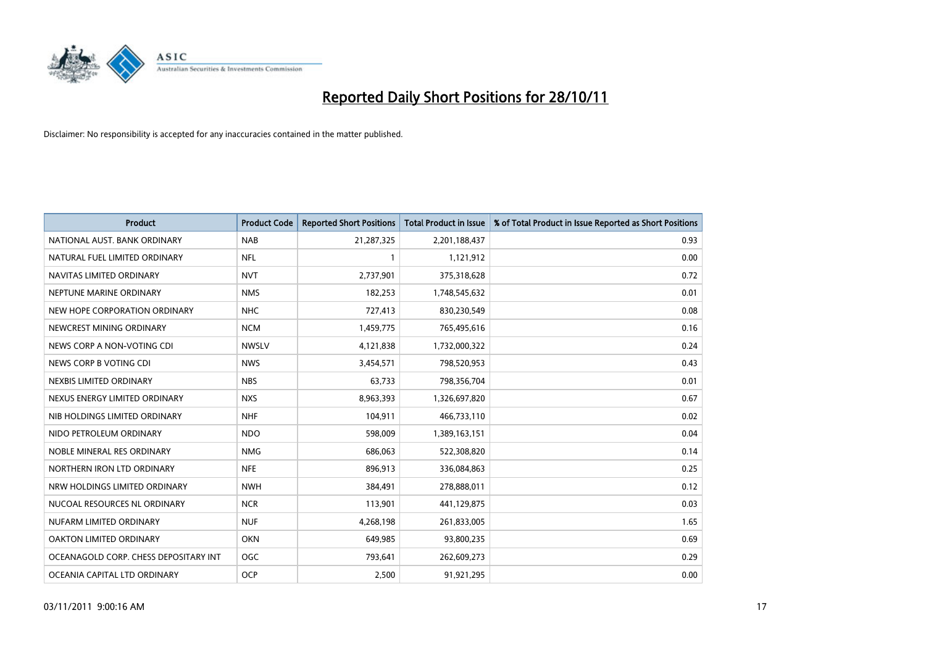

| <b>Product</b>                        | <b>Product Code</b> | <b>Reported Short Positions</b> | <b>Total Product in Issue</b> | % of Total Product in Issue Reported as Short Positions |
|---------------------------------------|---------------------|---------------------------------|-------------------------------|---------------------------------------------------------|
| NATIONAL AUST, BANK ORDINARY          | <b>NAB</b>          | 21,287,325                      | 2,201,188,437                 | 0.93                                                    |
| NATURAL FUEL LIMITED ORDINARY         | <b>NFL</b>          |                                 | 1,121,912                     | 0.00                                                    |
| NAVITAS LIMITED ORDINARY              | <b>NVT</b>          | 2,737,901                       | 375,318,628                   | 0.72                                                    |
| NEPTUNE MARINE ORDINARY               | <b>NMS</b>          | 182,253                         | 1,748,545,632                 | 0.01                                                    |
| NEW HOPE CORPORATION ORDINARY         | <b>NHC</b>          | 727,413                         | 830,230,549                   | 0.08                                                    |
| NEWCREST MINING ORDINARY              | <b>NCM</b>          | 1,459,775                       | 765,495,616                   | 0.16                                                    |
| NEWS CORP A NON-VOTING CDI            | <b>NWSLV</b>        | 4,121,838                       | 1,732,000,322                 | 0.24                                                    |
| NEWS CORP B VOTING CDI                | <b>NWS</b>          | 3,454,571                       | 798,520,953                   | 0.43                                                    |
| NEXBIS LIMITED ORDINARY               | <b>NBS</b>          | 63,733                          | 798,356,704                   | 0.01                                                    |
| NEXUS ENERGY LIMITED ORDINARY         | <b>NXS</b>          | 8,963,393                       | 1,326,697,820                 | 0.67                                                    |
| NIB HOLDINGS LIMITED ORDINARY         | <b>NHF</b>          | 104,911                         | 466,733,110                   | 0.02                                                    |
| NIDO PETROLEUM ORDINARY               | <b>NDO</b>          | 598,009                         | 1,389,163,151                 | 0.04                                                    |
| NOBLE MINERAL RES ORDINARY            | <b>NMG</b>          | 686,063                         | 522,308,820                   | 0.14                                                    |
| NORTHERN IRON LTD ORDINARY            | <b>NFE</b>          | 896,913                         | 336,084,863                   | 0.25                                                    |
| NRW HOLDINGS LIMITED ORDINARY         | <b>NWH</b>          | 384,491                         | 278,888,011                   | 0.12                                                    |
| NUCOAL RESOURCES NL ORDINARY          | <b>NCR</b>          | 113,901                         | 441,129,875                   | 0.03                                                    |
| NUFARM LIMITED ORDINARY               | <b>NUF</b>          | 4,268,198                       | 261,833,005                   | 1.65                                                    |
| OAKTON LIMITED ORDINARY               | <b>OKN</b>          | 649,985                         | 93,800,235                    | 0.69                                                    |
| OCEANAGOLD CORP. CHESS DEPOSITARY INT | <b>OGC</b>          | 793,641                         | 262,609,273                   | 0.29                                                    |
| OCEANIA CAPITAL LTD ORDINARY          | <b>OCP</b>          | 2,500                           | 91,921,295                    | 0.00                                                    |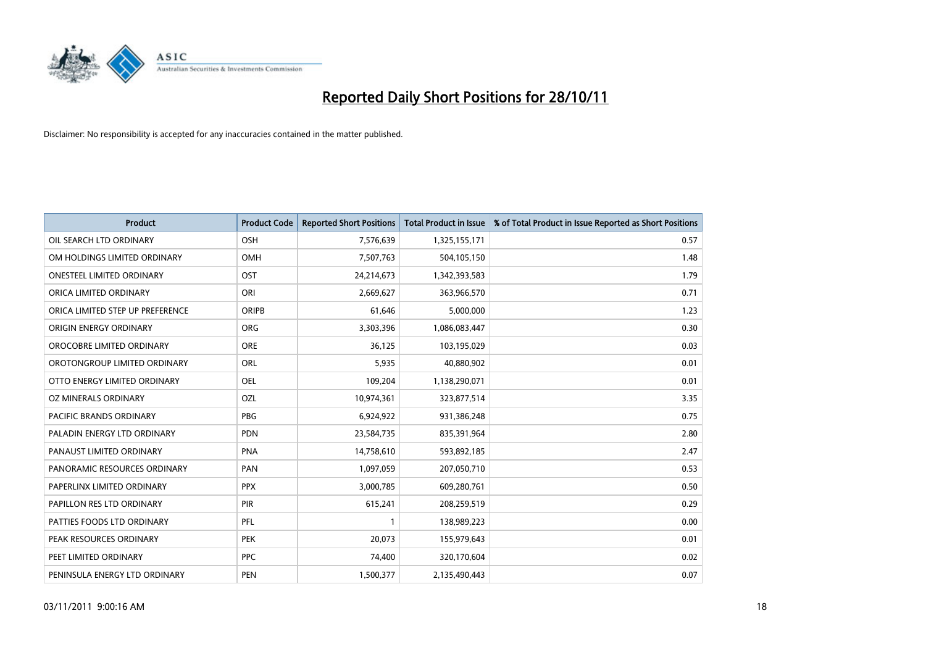

| <b>Product</b>                   | <b>Product Code</b> | <b>Reported Short Positions</b> | <b>Total Product in Issue</b> | % of Total Product in Issue Reported as Short Positions |
|----------------------------------|---------------------|---------------------------------|-------------------------------|---------------------------------------------------------|
| OIL SEARCH LTD ORDINARY          | OSH                 | 7,576,639                       | 1,325,155,171                 | 0.57                                                    |
| OM HOLDINGS LIMITED ORDINARY     | <b>OMH</b>          | 7,507,763                       | 504,105,150                   | 1.48                                                    |
| <b>ONESTEEL LIMITED ORDINARY</b> | OST                 | 24,214,673                      | 1,342,393,583                 | 1.79                                                    |
| ORICA LIMITED ORDINARY           | ORI                 | 2,669,627                       | 363,966,570                   | 0.71                                                    |
| ORICA LIMITED STEP UP PREFERENCE | ORIPB               | 61,646                          | 5,000,000                     | 1.23                                                    |
| ORIGIN ENERGY ORDINARY           | <b>ORG</b>          | 3,303,396                       | 1,086,083,447                 | 0.30                                                    |
| OROCOBRE LIMITED ORDINARY        | <b>ORE</b>          | 36,125                          | 103,195,029                   | 0.03                                                    |
| OROTONGROUP LIMITED ORDINARY     | ORL                 | 5,935                           | 40,880,902                    | 0.01                                                    |
| OTTO ENERGY LIMITED ORDINARY     | OEL                 | 109,204                         | 1,138,290,071                 | 0.01                                                    |
| OZ MINERALS ORDINARY             | OZL                 | 10,974,361                      | 323,877,514                   | 3.35                                                    |
| PACIFIC BRANDS ORDINARY          | <b>PBG</b>          | 6,924,922                       | 931,386,248                   | 0.75                                                    |
| PALADIN ENERGY LTD ORDINARY      | <b>PDN</b>          | 23,584,735                      | 835,391,964                   | 2.80                                                    |
| PANAUST LIMITED ORDINARY         | <b>PNA</b>          | 14,758,610                      | 593,892,185                   | 2.47                                                    |
| PANORAMIC RESOURCES ORDINARY     | PAN                 | 1,097,059                       | 207,050,710                   | 0.53                                                    |
| PAPERLINX LIMITED ORDINARY       | <b>PPX</b>          | 3,000,785                       | 609,280,761                   | 0.50                                                    |
| PAPILLON RES LTD ORDINARY        | PIR                 | 615,241                         | 208,259,519                   | 0.29                                                    |
| PATTIES FOODS LTD ORDINARY       | PFL                 |                                 | 138,989,223                   | 0.00                                                    |
| PEAK RESOURCES ORDINARY          | <b>PEK</b>          | 20,073                          | 155,979,643                   | 0.01                                                    |
| PEET LIMITED ORDINARY            | <b>PPC</b>          | 74,400                          | 320,170,604                   | 0.02                                                    |
| PENINSULA ENERGY LTD ORDINARY    | <b>PEN</b>          | 1,500,377                       | 2,135,490,443                 | 0.07                                                    |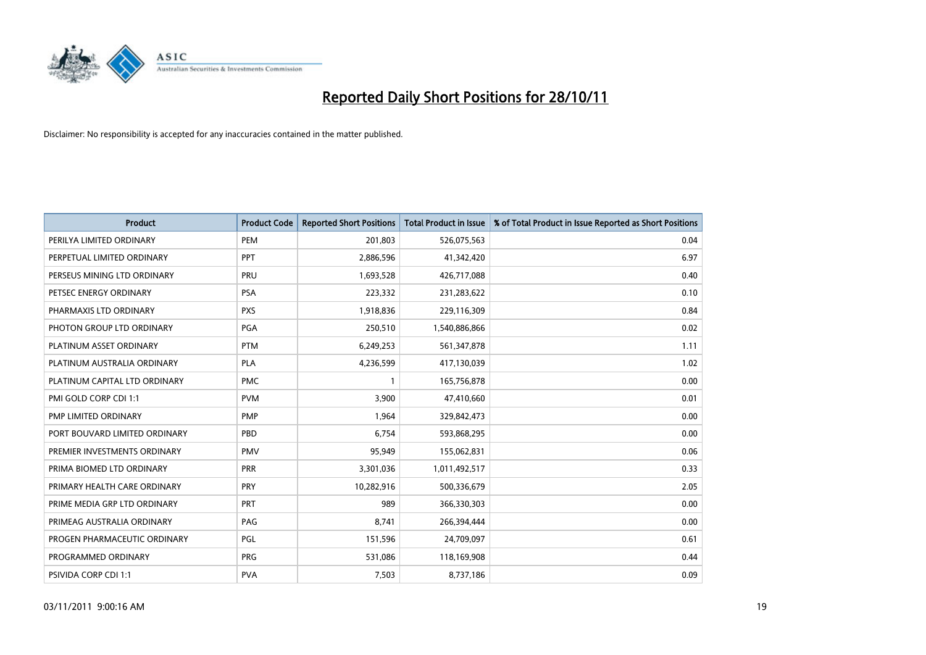

| <b>Product</b>                | <b>Product Code</b> | <b>Reported Short Positions</b> | <b>Total Product in Issue</b> | % of Total Product in Issue Reported as Short Positions |
|-------------------------------|---------------------|---------------------------------|-------------------------------|---------------------------------------------------------|
| PERILYA LIMITED ORDINARY      | PEM                 | 201,803                         | 526,075,563                   | 0.04                                                    |
| PERPETUAL LIMITED ORDINARY    | <b>PPT</b>          | 2,886,596                       | 41,342,420                    | 6.97                                                    |
| PERSEUS MINING LTD ORDINARY   | PRU                 | 1,693,528                       | 426,717,088                   | 0.40                                                    |
| PETSEC ENERGY ORDINARY        | <b>PSA</b>          | 223,332                         | 231,283,622                   | 0.10                                                    |
| PHARMAXIS LTD ORDINARY        | <b>PXS</b>          | 1,918,836                       | 229,116,309                   | 0.84                                                    |
| PHOTON GROUP LTD ORDINARY     | PGA                 | 250,510                         | 1,540,886,866                 | 0.02                                                    |
| PLATINUM ASSET ORDINARY       | <b>PTM</b>          | 6,249,253                       | 561,347,878                   | 1.11                                                    |
| PLATINUM AUSTRALIA ORDINARY   | <b>PLA</b>          | 4,236,599                       | 417,130,039                   | 1.02                                                    |
| PLATINUM CAPITAL LTD ORDINARY | <b>PMC</b>          |                                 | 165,756,878                   | 0.00                                                    |
| PMI GOLD CORP CDI 1:1         | <b>PVM</b>          | 3,900                           | 47,410,660                    | 0.01                                                    |
| PMP LIMITED ORDINARY          | <b>PMP</b>          | 1,964                           | 329,842,473                   | 0.00                                                    |
| PORT BOUVARD LIMITED ORDINARY | PBD                 | 6,754                           | 593,868,295                   | 0.00                                                    |
| PREMIER INVESTMENTS ORDINARY  | <b>PMV</b>          | 95,949                          | 155,062,831                   | 0.06                                                    |
| PRIMA BIOMED LTD ORDINARY     | <b>PRR</b>          | 3,301,036                       | 1,011,492,517                 | 0.33                                                    |
| PRIMARY HEALTH CARE ORDINARY  | PRY                 | 10,282,916                      | 500,336,679                   | 2.05                                                    |
| PRIME MEDIA GRP LTD ORDINARY  | PRT                 | 989                             | 366,330,303                   | 0.00                                                    |
| PRIMEAG AUSTRALIA ORDINARY    | PAG                 | 8,741                           | 266,394,444                   | 0.00                                                    |
| PROGEN PHARMACEUTIC ORDINARY  | <b>PGL</b>          | 151,596                         | 24,709,097                    | 0.61                                                    |
| PROGRAMMED ORDINARY           | <b>PRG</b>          | 531,086                         | 118,169,908                   | 0.44                                                    |
| PSIVIDA CORP CDI 1:1          | <b>PVA</b>          | 7,503                           | 8,737,186                     | 0.09                                                    |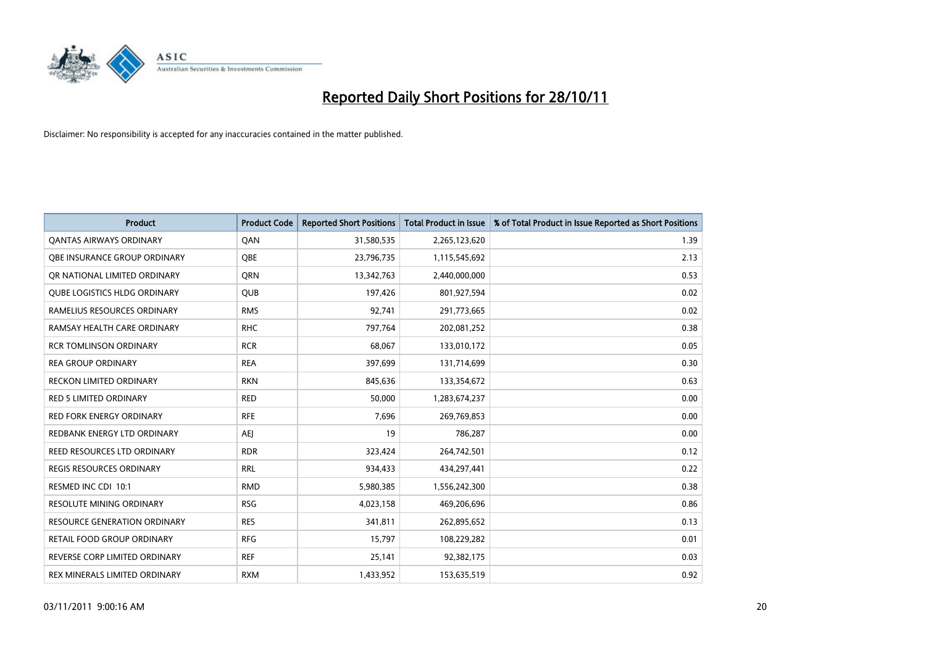

| <b>Product</b>                      | <b>Product Code</b> | <b>Reported Short Positions</b> | <b>Total Product in Issue</b> | % of Total Product in Issue Reported as Short Positions |
|-------------------------------------|---------------------|---------------------------------|-------------------------------|---------------------------------------------------------|
| <b>QANTAS AIRWAYS ORDINARY</b>      | QAN                 | 31,580,535                      | 2,265,123,620                 | 1.39                                                    |
| OBE INSURANCE GROUP ORDINARY        | <b>OBE</b>          | 23,796,735                      | 1,115,545,692                 | 2.13                                                    |
| OR NATIONAL LIMITED ORDINARY        | <b>ORN</b>          | 13,342,763                      | 2,440,000,000                 | 0.53                                                    |
| <b>QUBE LOGISTICS HLDG ORDINARY</b> | <b>QUB</b>          | 197,426                         | 801,927,594                   | 0.02                                                    |
| RAMELIUS RESOURCES ORDINARY         | <b>RMS</b>          | 92,741                          | 291,773,665                   | 0.02                                                    |
| RAMSAY HEALTH CARE ORDINARY         | <b>RHC</b>          | 797,764                         | 202,081,252                   | 0.38                                                    |
| <b>RCR TOMLINSON ORDINARY</b>       | <b>RCR</b>          | 68,067                          | 133,010,172                   | 0.05                                                    |
| <b>REA GROUP ORDINARY</b>           | <b>REA</b>          | 397,699                         | 131,714,699                   | 0.30                                                    |
| <b>RECKON LIMITED ORDINARY</b>      | <b>RKN</b>          | 845,636                         | 133,354,672                   | 0.63                                                    |
| <b>RED 5 LIMITED ORDINARY</b>       | <b>RED</b>          | 50,000                          | 1,283,674,237                 | 0.00                                                    |
| RED FORK ENERGY ORDINARY            | <b>RFE</b>          | 7,696                           | 269,769,853                   | 0.00                                                    |
| REDBANK ENERGY LTD ORDINARY         | AEJ                 | 19                              | 786,287                       | 0.00                                                    |
| REED RESOURCES LTD ORDINARY         | <b>RDR</b>          | 323,424                         | 264,742,501                   | 0.12                                                    |
| REGIS RESOURCES ORDINARY            | <b>RRL</b>          | 934,433                         | 434,297,441                   | 0.22                                                    |
| RESMED INC CDI 10:1                 | <b>RMD</b>          | 5,980,385                       | 1,556,242,300                 | 0.38                                                    |
| RESOLUTE MINING ORDINARY            | <b>RSG</b>          | 4,023,158                       | 469,206,696                   | 0.86                                                    |
| RESOURCE GENERATION ORDINARY        | <b>RES</b>          | 341,811                         | 262,895,652                   | 0.13                                                    |
| RETAIL FOOD GROUP ORDINARY          | <b>RFG</b>          | 15,797                          | 108,229,282                   | 0.01                                                    |
| REVERSE CORP LIMITED ORDINARY       | <b>REF</b>          | 25,141                          | 92,382,175                    | 0.03                                                    |
| REX MINERALS LIMITED ORDINARY       | <b>RXM</b>          | 1,433,952                       | 153,635,519                   | 0.92                                                    |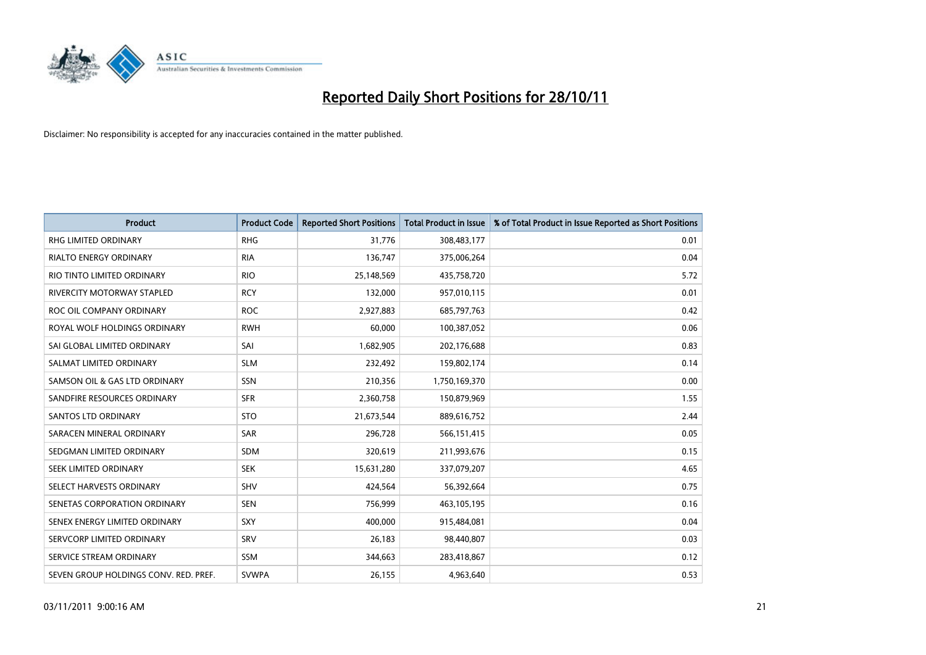

| <b>Product</b>                        | <b>Product Code</b> | <b>Reported Short Positions</b> | <b>Total Product in Issue</b> | % of Total Product in Issue Reported as Short Positions |
|---------------------------------------|---------------------|---------------------------------|-------------------------------|---------------------------------------------------------|
| <b>RHG LIMITED ORDINARY</b>           | <b>RHG</b>          | 31,776                          | 308,483,177                   | 0.01                                                    |
| <b>RIALTO ENERGY ORDINARY</b>         | <b>RIA</b>          | 136,747                         | 375,006,264                   | 0.04                                                    |
| RIO TINTO LIMITED ORDINARY            | <b>RIO</b>          | 25,148,569                      | 435,758,720                   | 5.72                                                    |
| RIVERCITY MOTORWAY STAPLED            | <b>RCY</b>          | 132,000                         | 957,010,115                   | 0.01                                                    |
| ROC OIL COMPANY ORDINARY              | <b>ROC</b>          | 2,927,883                       | 685,797,763                   | 0.42                                                    |
| ROYAL WOLF HOLDINGS ORDINARY          | <b>RWH</b>          | 60,000                          | 100,387,052                   | 0.06                                                    |
| SAI GLOBAL LIMITED ORDINARY           | SAI                 | 1,682,905                       | 202,176,688                   | 0.83                                                    |
| SALMAT LIMITED ORDINARY               | <b>SLM</b>          | 232,492                         | 159,802,174                   | 0.14                                                    |
| SAMSON OIL & GAS LTD ORDINARY         | SSN                 | 210,356                         | 1,750,169,370                 | 0.00                                                    |
| SANDFIRE RESOURCES ORDINARY           | <b>SFR</b>          | 2,360,758                       | 150,879,969                   | 1.55                                                    |
| <b>SANTOS LTD ORDINARY</b>            | <b>STO</b>          | 21,673,544                      | 889,616,752                   | 2.44                                                    |
| SARACEN MINERAL ORDINARY              | SAR                 | 296,728                         | 566,151,415                   | 0.05                                                    |
| SEDGMAN LIMITED ORDINARY              | <b>SDM</b>          | 320,619                         | 211,993,676                   | 0.15                                                    |
| SEEK LIMITED ORDINARY                 | <b>SEK</b>          | 15,631,280                      | 337,079,207                   | 4.65                                                    |
| SELECT HARVESTS ORDINARY              | SHV                 | 424,564                         | 56,392,664                    | 0.75                                                    |
| SENETAS CORPORATION ORDINARY          | <b>SEN</b>          | 756,999                         | 463,105,195                   | 0.16                                                    |
| SENEX ENERGY LIMITED ORDINARY         | SXY                 | 400,000                         | 915,484,081                   | 0.04                                                    |
| SERVCORP LIMITED ORDINARY             | SRV                 | 26,183                          | 98,440,807                    | 0.03                                                    |
| SERVICE STREAM ORDINARY               | <b>SSM</b>          | 344,663                         | 283,418,867                   | 0.12                                                    |
| SEVEN GROUP HOLDINGS CONV. RED. PREF. | <b>SVWPA</b>        | 26,155                          | 4,963,640                     | 0.53                                                    |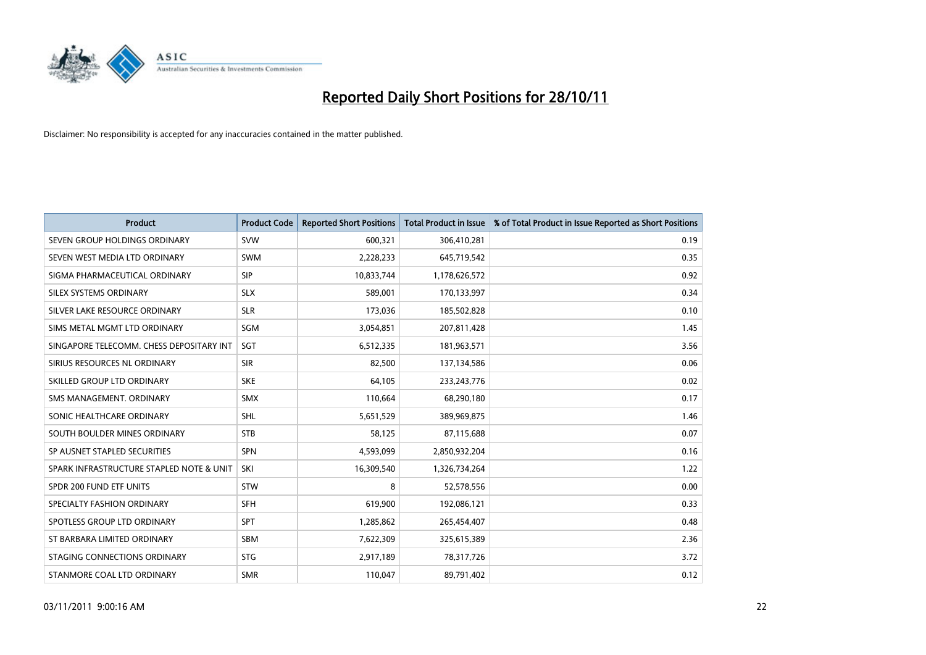

| <b>Product</b>                           | <b>Product Code</b> | <b>Reported Short Positions</b> | <b>Total Product in Issue</b> | % of Total Product in Issue Reported as Short Positions |
|------------------------------------------|---------------------|---------------------------------|-------------------------------|---------------------------------------------------------|
| SEVEN GROUP HOLDINGS ORDINARY            | <b>SVW</b>          | 600,321                         | 306,410,281                   | 0.19                                                    |
| SEVEN WEST MEDIA LTD ORDINARY            | <b>SWM</b>          | 2,228,233                       | 645,719,542                   | 0.35                                                    |
| SIGMA PHARMACEUTICAL ORDINARY            | <b>SIP</b>          | 10,833,744                      | 1,178,626,572                 | 0.92                                                    |
| SILEX SYSTEMS ORDINARY                   | <b>SLX</b>          | 589,001                         | 170,133,997                   | 0.34                                                    |
| SILVER LAKE RESOURCE ORDINARY            | <b>SLR</b>          | 173,036                         | 185,502,828                   | 0.10                                                    |
| SIMS METAL MGMT LTD ORDINARY             | SGM                 | 3,054,851                       | 207,811,428                   | 1.45                                                    |
| SINGAPORE TELECOMM. CHESS DEPOSITARY INT | SGT                 | 6,512,335                       | 181,963,571                   | 3.56                                                    |
| SIRIUS RESOURCES NL ORDINARY             | <b>SIR</b>          | 82,500                          | 137,134,586                   | 0.06                                                    |
| SKILLED GROUP LTD ORDINARY               | <b>SKE</b>          | 64,105                          | 233, 243, 776                 | 0.02                                                    |
| SMS MANAGEMENT, ORDINARY                 | <b>SMX</b>          | 110,664                         | 68,290,180                    | 0.17                                                    |
| SONIC HEALTHCARE ORDINARY                | <b>SHL</b>          | 5,651,529                       | 389,969,875                   | 1.46                                                    |
| SOUTH BOULDER MINES ORDINARY             | <b>STB</b>          | 58,125                          | 87,115,688                    | 0.07                                                    |
| SP AUSNET STAPLED SECURITIES             | <b>SPN</b>          | 4,593,099                       | 2,850,932,204                 | 0.16                                                    |
| SPARK INFRASTRUCTURE STAPLED NOTE & UNIT | SKI                 | 16,309,540                      | 1,326,734,264                 | 1.22                                                    |
| SPDR 200 FUND ETF UNITS                  | <b>STW</b>          | 8                               | 52,578,556                    | 0.00                                                    |
| SPECIALTY FASHION ORDINARY               | <b>SFH</b>          | 619,900                         | 192,086,121                   | 0.33                                                    |
| SPOTLESS GROUP LTD ORDINARY              | <b>SPT</b>          | 1,285,862                       | 265,454,407                   | 0.48                                                    |
| ST BARBARA LIMITED ORDINARY              | <b>SBM</b>          | 7,622,309                       | 325,615,389                   | 2.36                                                    |
| STAGING CONNECTIONS ORDINARY             | <b>STG</b>          | 2,917,189                       | 78,317,726                    | 3.72                                                    |
| STANMORE COAL LTD ORDINARY               | <b>SMR</b>          | 110,047                         | 89,791,402                    | 0.12                                                    |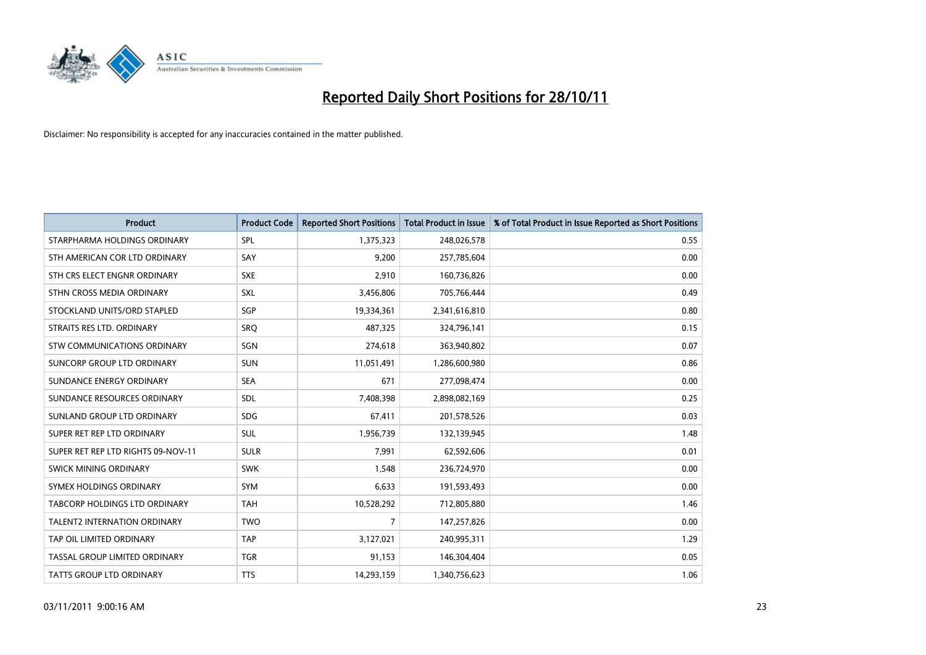

| <b>Product</b>                     | <b>Product Code</b> | <b>Reported Short Positions</b> | <b>Total Product in Issue</b> | % of Total Product in Issue Reported as Short Positions |
|------------------------------------|---------------------|---------------------------------|-------------------------------|---------------------------------------------------------|
| STARPHARMA HOLDINGS ORDINARY       | SPL                 | 1,375,323                       | 248,026,578                   | 0.55                                                    |
| STH AMERICAN COR LTD ORDINARY      | SAY                 | 9,200                           | 257,785,604                   | 0.00                                                    |
| STH CRS ELECT ENGNR ORDINARY       | <b>SXE</b>          | 2,910                           | 160,736,826                   | 0.00                                                    |
| STHN CROSS MEDIA ORDINARY          | <b>SXL</b>          | 3,456,806                       | 705,766,444                   | 0.49                                                    |
| STOCKLAND UNITS/ORD STAPLED        | <b>SGP</b>          | 19,334,361                      | 2,341,616,810                 | 0.80                                                    |
| STRAITS RES LTD. ORDINARY          | SRO                 | 487,325                         | 324,796,141                   | 0.15                                                    |
| STW COMMUNICATIONS ORDINARY        | SGN                 | 274,618                         | 363,940,802                   | 0.07                                                    |
| SUNCORP GROUP LTD ORDINARY         | <b>SUN</b>          | 11,051,491                      | 1,286,600,980                 | 0.86                                                    |
| SUNDANCE ENERGY ORDINARY           | <b>SEA</b>          | 671                             | 277,098,474                   | 0.00                                                    |
| SUNDANCE RESOURCES ORDINARY        | <b>SDL</b>          | 7,408,398                       | 2,898,082,169                 | 0.25                                                    |
| SUNLAND GROUP LTD ORDINARY         | <b>SDG</b>          | 67,411                          | 201,578,526                   | 0.03                                                    |
| SUPER RET REP LTD ORDINARY         | <b>SUL</b>          | 1,956,739                       | 132,139,945                   | 1.48                                                    |
| SUPER RET REP LTD RIGHTS 09-NOV-11 | <b>SULR</b>         | 7,991                           | 62,592,606                    | 0.01                                                    |
| SWICK MINING ORDINARY              | <b>SWK</b>          | 1,548                           | 236,724,970                   | 0.00                                                    |
| SYMEX HOLDINGS ORDINARY            | <b>SYM</b>          | 6,633                           | 191,593,493                   | 0.00                                                    |
| TABCORP HOLDINGS LTD ORDINARY      | <b>TAH</b>          | 10,528,292                      | 712,805,880                   | 1.46                                                    |
| TALENT2 INTERNATION ORDINARY       | <b>TWO</b>          | $\overline{7}$                  | 147,257,826                   | 0.00                                                    |
| TAP OIL LIMITED ORDINARY           | <b>TAP</b>          | 3,127,021                       | 240,995,311                   | 1.29                                                    |
| TASSAL GROUP LIMITED ORDINARY      | <b>TGR</b>          | 91,153                          | 146,304,404                   | 0.05                                                    |
| TATTS GROUP LTD ORDINARY           | <b>TTS</b>          | 14,293,159                      | 1,340,756,623                 | 1.06                                                    |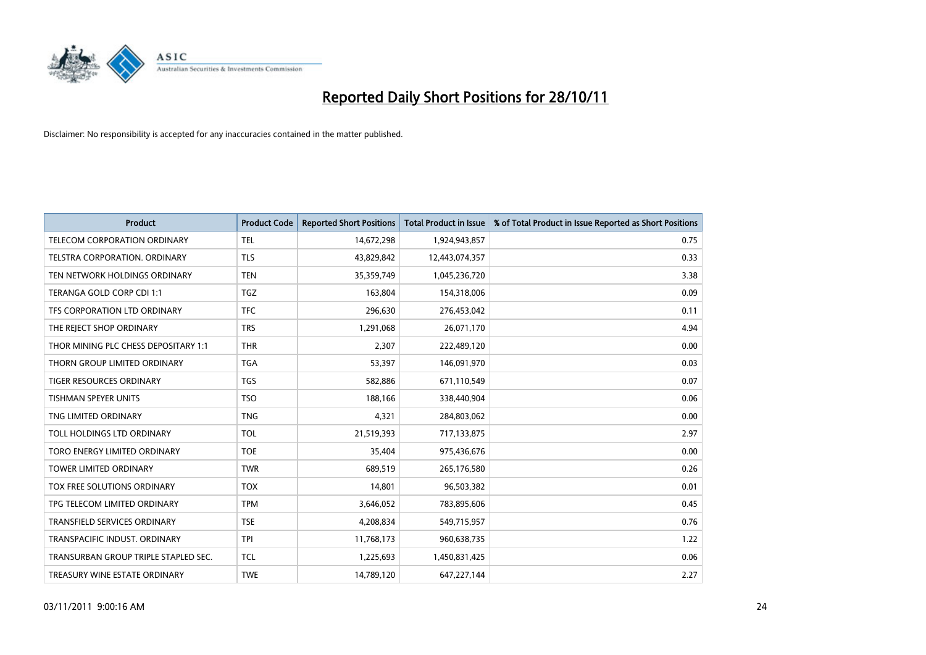

| <b>Product</b>                       | <b>Product Code</b> | <b>Reported Short Positions</b> | <b>Total Product in Issue</b> | % of Total Product in Issue Reported as Short Positions |
|--------------------------------------|---------------------|---------------------------------|-------------------------------|---------------------------------------------------------|
| <b>TELECOM CORPORATION ORDINARY</b>  | <b>TEL</b>          | 14,672,298                      | 1,924,943,857                 | 0.75                                                    |
| TELSTRA CORPORATION. ORDINARY        | <b>TLS</b>          | 43,829,842                      | 12,443,074,357                | 0.33                                                    |
| TEN NETWORK HOLDINGS ORDINARY        | <b>TEN</b>          | 35,359,749                      | 1,045,236,720                 | 3.38                                                    |
| TERANGA GOLD CORP CDI 1:1            | <b>TGZ</b>          | 163,804                         | 154,318,006                   | 0.09                                                    |
| TFS CORPORATION LTD ORDINARY         | <b>TFC</b>          | 296,630                         | 276,453,042                   | 0.11                                                    |
| THE REJECT SHOP ORDINARY             | <b>TRS</b>          | 1,291,068                       | 26,071,170                    | 4.94                                                    |
| THOR MINING PLC CHESS DEPOSITARY 1:1 | <b>THR</b>          | 2,307                           | 222,489,120                   | 0.00                                                    |
| THORN GROUP LIMITED ORDINARY         | <b>TGA</b>          | 53,397                          | 146,091,970                   | 0.03                                                    |
| <b>TIGER RESOURCES ORDINARY</b>      | <b>TGS</b>          | 582,886                         | 671,110,549                   | 0.07                                                    |
| <b>TISHMAN SPEYER UNITS</b>          | <b>TSO</b>          | 188,166                         | 338,440,904                   | 0.06                                                    |
| TNG LIMITED ORDINARY                 | <b>TNG</b>          | 4,321                           | 284,803,062                   | 0.00                                                    |
| TOLL HOLDINGS LTD ORDINARY           | <b>TOL</b>          | 21,519,393                      | 717,133,875                   | 2.97                                                    |
| TORO ENERGY LIMITED ORDINARY         | <b>TOE</b>          | 35,404                          | 975,436,676                   | 0.00                                                    |
| <b>TOWER LIMITED ORDINARY</b>        | <b>TWR</b>          | 689,519                         | 265,176,580                   | 0.26                                                    |
| TOX FREE SOLUTIONS ORDINARY          | <b>TOX</b>          | 14,801                          | 96,503,382                    | 0.01                                                    |
| TPG TELECOM LIMITED ORDINARY         | <b>TPM</b>          | 3,646,052                       | 783,895,606                   | 0.45                                                    |
| TRANSFIELD SERVICES ORDINARY         | <b>TSE</b>          | 4,208,834                       | 549,715,957                   | 0.76                                                    |
| TRANSPACIFIC INDUST, ORDINARY        | <b>TPI</b>          | 11,768,173                      | 960,638,735                   | 1.22                                                    |
| TRANSURBAN GROUP TRIPLE STAPLED SEC. | <b>TCL</b>          | 1,225,693                       | 1,450,831,425                 | 0.06                                                    |
| TREASURY WINE ESTATE ORDINARY        | <b>TWE</b>          | 14,789,120                      | 647,227,144                   | 2.27                                                    |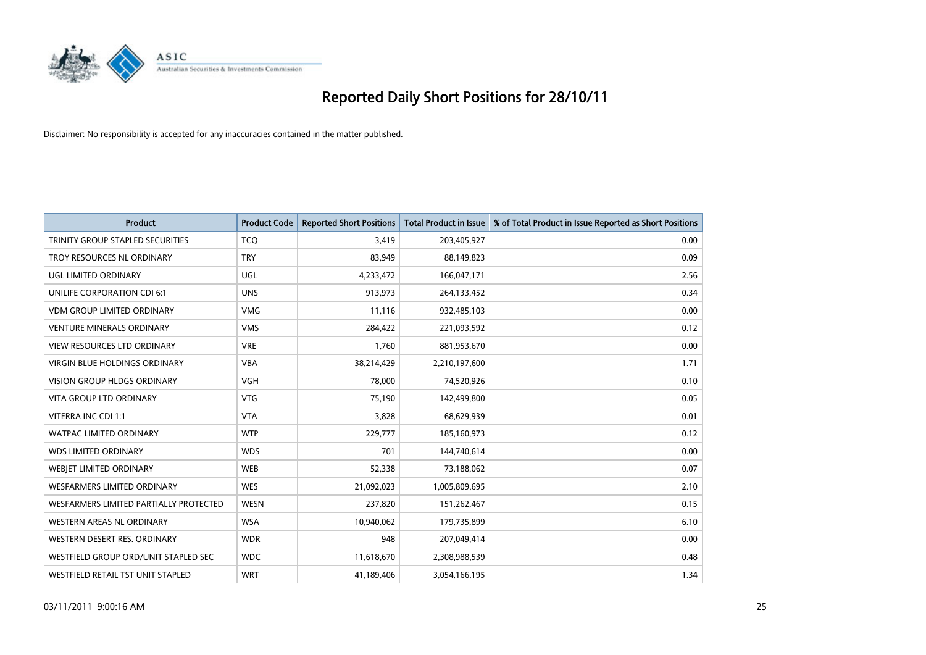

| <b>Product</b>                          | <b>Product Code</b> | <b>Reported Short Positions</b> | <b>Total Product in Issue</b> | % of Total Product in Issue Reported as Short Positions |
|-----------------------------------------|---------------------|---------------------------------|-------------------------------|---------------------------------------------------------|
| <b>TRINITY GROUP STAPLED SECURITIES</b> | <b>TCQ</b>          | 3,419                           | 203,405,927                   | 0.00                                                    |
| TROY RESOURCES NL ORDINARY              | <b>TRY</b>          | 83,949                          | 88,149,823                    | 0.09                                                    |
| UGL LIMITED ORDINARY                    | UGL                 | 4,233,472                       | 166,047,171                   | 2.56                                                    |
| UNILIFE CORPORATION CDI 6:1             | <b>UNS</b>          | 913,973                         | 264,133,452                   | 0.34                                                    |
| <b>VDM GROUP LIMITED ORDINARY</b>       | <b>VMG</b>          | 11,116                          | 932,485,103                   | 0.00                                                    |
| <b>VENTURE MINERALS ORDINARY</b>        | <b>VMS</b>          | 284,422                         | 221,093,592                   | 0.12                                                    |
| <b>VIEW RESOURCES LTD ORDINARY</b>      | <b>VRE</b>          | 1,760                           | 881,953,670                   | 0.00                                                    |
| VIRGIN BLUE HOLDINGS ORDINARY           | <b>VBA</b>          | 38,214,429                      | 2,210,197,600                 | 1.71                                                    |
| <b>VISION GROUP HLDGS ORDINARY</b>      | <b>VGH</b>          | 78,000                          | 74,520,926                    | 0.10                                                    |
| <b>VITA GROUP LTD ORDINARY</b>          | <b>VTG</b>          | 75,190                          | 142,499,800                   | 0.05                                                    |
| VITERRA INC CDI 1:1                     | <b>VTA</b>          | 3,828                           | 68,629,939                    | 0.01                                                    |
| <b>WATPAC LIMITED ORDINARY</b>          | <b>WTP</b>          | 229,777                         | 185,160,973                   | 0.12                                                    |
| <b>WDS LIMITED ORDINARY</b>             | <b>WDS</b>          | 701                             | 144,740,614                   | 0.00                                                    |
| WEBIET LIMITED ORDINARY                 | <b>WEB</b>          | 52,338                          | 73,188,062                    | 0.07                                                    |
| <b>WESFARMERS LIMITED ORDINARY</b>      | <b>WES</b>          | 21,092,023                      | 1,005,809,695                 | 2.10                                                    |
| WESFARMERS LIMITED PARTIALLY PROTECTED  | <b>WESN</b>         | 237,820                         | 151,262,467                   | 0.15                                                    |
| WESTERN AREAS NL ORDINARY               | <b>WSA</b>          | 10,940,062                      | 179,735,899                   | 6.10                                                    |
| WESTERN DESERT RES. ORDINARY            | <b>WDR</b>          | 948                             | 207,049,414                   | 0.00                                                    |
| WESTFIELD GROUP ORD/UNIT STAPLED SEC    | <b>WDC</b>          | 11,618,670                      | 2,308,988,539                 | 0.48                                                    |
| WESTFIELD RETAIL TST UNIT STAPLED       | <b>WRT</b>          | 41,189,406                      | 3,054,166,195                 | 1.34                                                    |